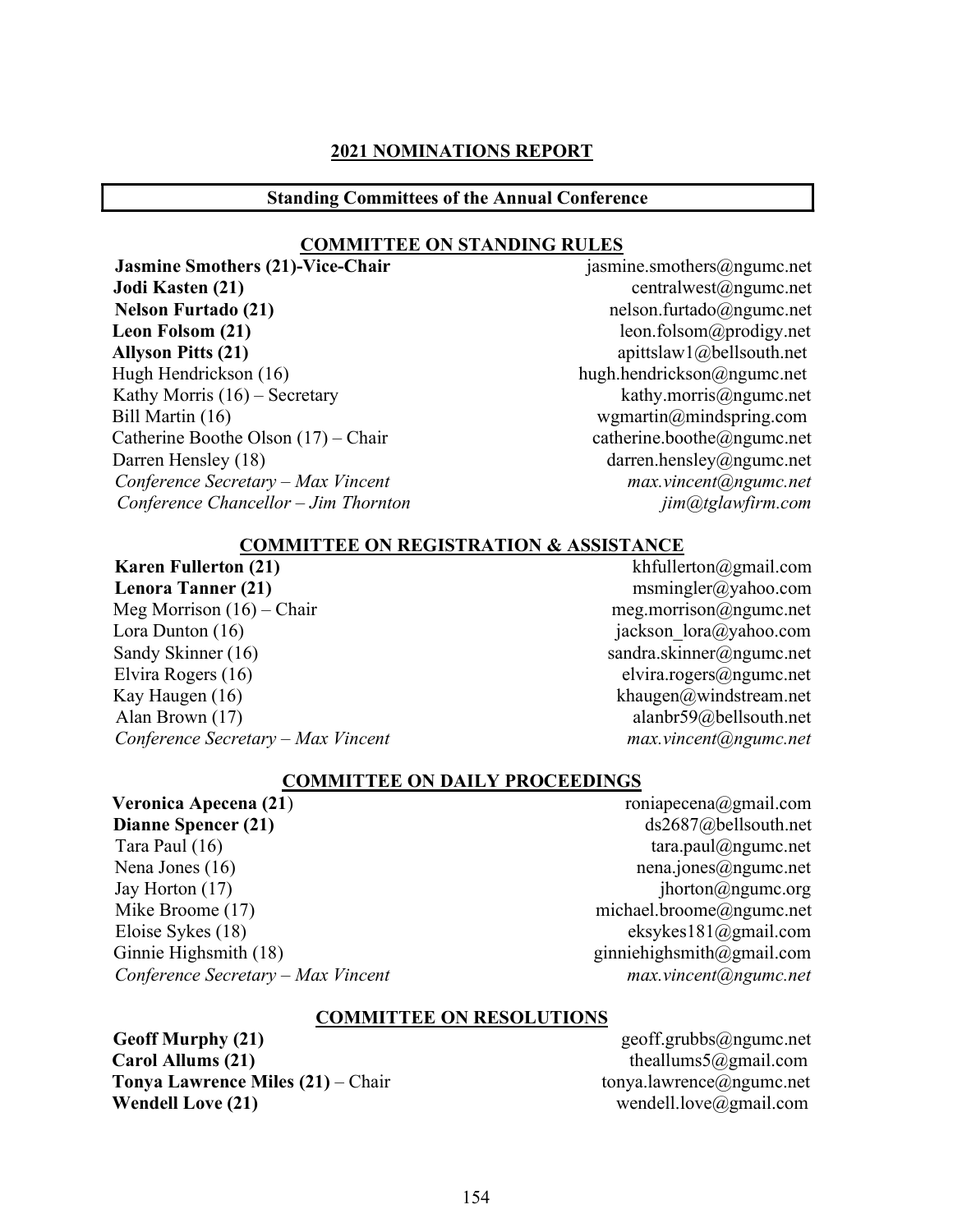#### 2021 NOMINATIONS REPORT

#### Standing Committees of the Annual Conference

#### COMMITTEE ON STANDING RULES

**Jodi Kasten (21)** centralwest@ngumc.net Nelson Furtado (21) helson.furtado@ngumc.net Leon Folsom (21) leon.folsom@prodigy.net Allyson Pitts (21) apittslaw1@bellsouth.net Hugh Hendrickson (16) hugh.hendrickson@ngumc.net<br>Kathy Morris (16) – Secretary hugh.hendrickson@ngumc.net Kathy Morris  $(16)$  – Secretary. Bill Martin (16) wgmartin  $\omega$ mindspring.com Catherine Boothe Olson  $(17)$  – Chair catherine.boothe@ngumc.net Darren Hensley (18) darren.hensley@ngumc.net Conference Secretary – Max Vincent max.vincent max.vincent max.vincent max.vincent max.vincent max.vincent max.vincent max.vincent max.vincent max.vincent max.vincent max.vincent max.vincent max.vincent max.vincent max.vin Conference Chancellor – Jim Thornton in the same imaging content of the content of the content of the content of the content of the content of the content of the content of the content of the content of the content of the

Jasmine Smothers (21)-Vice-Chair jasmine.smothers@ngumc.net

#### COMMITTEE ON REGISTRATION & ASSISTANCE

# **Karen Fullerton (21)** khfullerton  $\omega$ gmail.com

Meg Morrison  $(16)$  – Chair meg.morrison  $\omega$ ngumc.net Lora Dunton (16) jackson lora@yahoo.com Sandy Skinner (16) sandra.skinner@ngumc.net Elvira Rogers (16) elvira.rogers@ngumc.net Kay Haugen (16) khaugen  $\omega$  khaugen  $\omega$  khaugen  $\omega$  khaugen  $\omega$  khaugen  $\omega$  khaugen. Alan Brown (17) alanbr59@bellsouth.net Conference Secretary – Max Vincent max.vincent max.vincent max.vincent max.vincent max.vincent max.vincent max.vincent max.vincent max.vincent max.vincent max.vincent max.vincent max.vincent max.vincent max.vincent max.vin

# Lenora Tanner (21) msmingler@yahoo.com

#### COMMITTEE ON DAILY PROCEEDINGS

Veronica Apecena (21)  $\qquad \qquad \text{roniapecena}(\partial \text{gmail.com})$ Dianne Spencer (21) ds2687@bellsouth.net Tara Paul (16) tara.paul@ngumc.net Nena Jones (16) nena.jones@ngumc.net Jay Horton  $(17)$  jhorton  $\omega_{\text{ngume.org}}$ Mike Broome (17) michael.broome@ngumc.net Eloise Sykes (18) eksykes181@gmail.com Ginnie Highsmith (18) ginniehighsmith@gmail.com Conference Secretary – Max Vincent max.vincent max.vincent and max.vincent max.vincent and max.vincent max.vincent and max.vincent and max.vincent and max.vincent and max.vincent and max.vincent and max.vincent and max.vin

#### COMMITTEE ON RESOLUTIONS

Geoff Murphy (21) Geoff.grubbs@ngumc.net **Carol Allums (21)** theallums5@gmail.com **Tonya Lawrence Miles (21)** – Chair tonya.lawrence  $\omega$  ngumc.net Wendell Love (21) wendell.love@gmail.com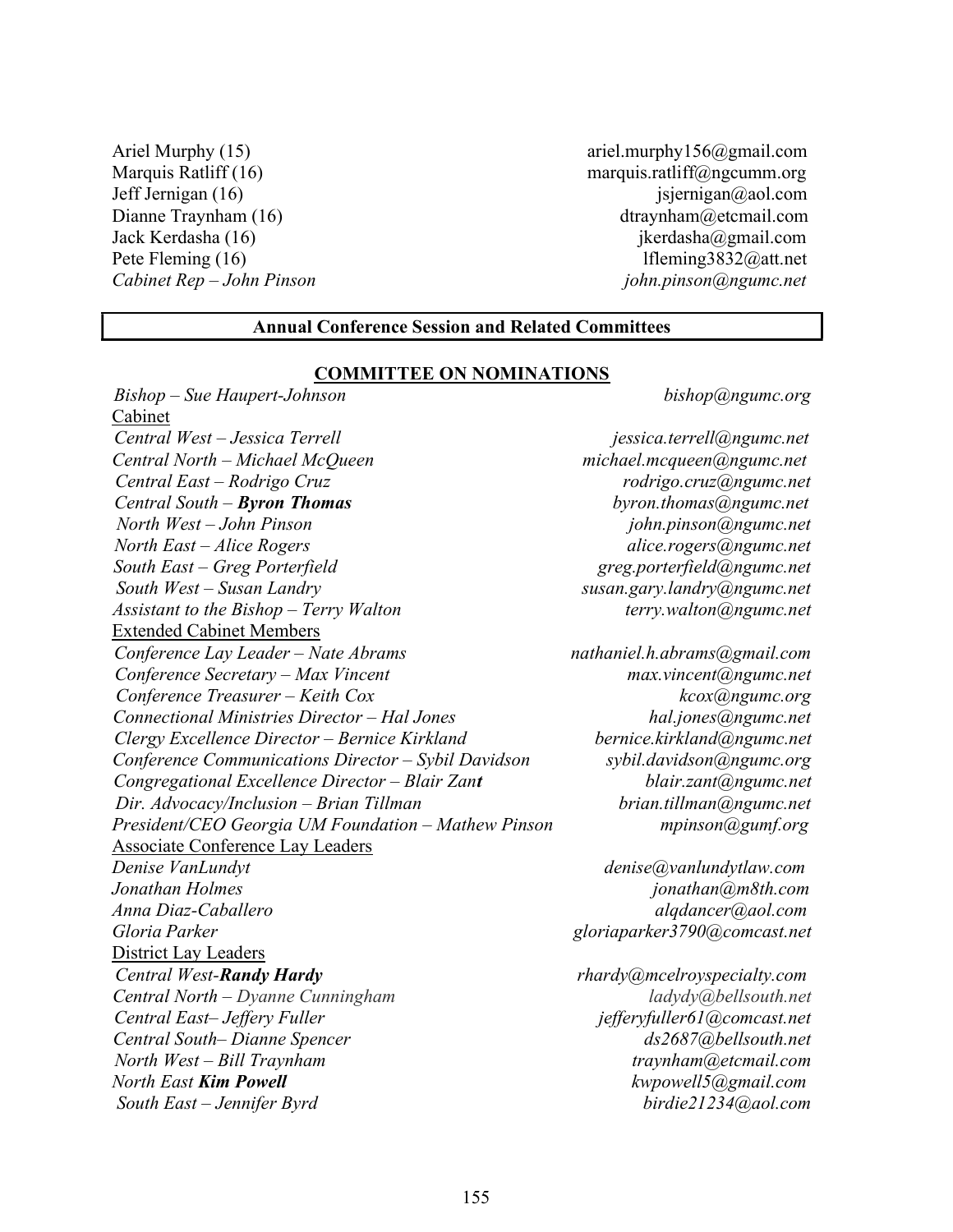Ariel Murphy (15) ariel.murphy156@gmail.com

Marquis Ratliff (16) marquis.ratliff@ngcumm.org Jeff Jernigan  $(16)$  jsjernigan $(\partial_{\alpha}$ aol.com Dianne Traynham (16) dtraynham (2016) dtraynham (2016) dtraynham (2016) dtraynham (2016) dtraynham (2016) dtraynham (2016) dtraynham (2016) dtraynham (2016) dtraynham (2016) dtraynham (2016) dtraynham (2016) dtraynham (201 Jack Kerdasha (16) jkerdasha (29 mail.com Pete Fleming (16) lfleming3832@att.net Cabinet Rep – John Pinson is a series of the series of the pinson giohn.pinson (a) ngumc.net

#### Annual Conference Session and Related Committees

#### COMMITTEE ON NOMINATIONS

Bishop – Sue Haupert-Johnson bishop@ngumc.org Cabinet Central West – Jessica Terrell is a contracted in the series of the series of the intervals of the central  $\alpha$  is  $\alpha$  is  $\alpha$  is  $\alpha$  is  $\alpha$  is  $\alpha$  is  $\alpha$  is  $\alpha$  is  $\alpha$  is  $\alpha$  is  $\alpha$  is  $\alpha$  is  $\alpha$  is  $\alpha$  is  $\alpha$ Central North – Michael McQueen michael.mcqueen@ngumc.net Central East – Rodrigo Cruz *contral East – Rodrigo Cruz* rodrigo.cruz@ngumc.net  $Central South - Byron Thomas$  byron.thomas byron.thomas by  $b$ North West – John Pinson john.pinson@ngumc.net North East – Alice Rogers and the control of the alice.rogers@ngumc.net South East – Greg Porterfield Grand greg.porterfield@ngumc.net South West – Susan Landry susan.gary.landry@ngumc.net Assistant to the Bishop – Terry Walton  $A$ ssistant to the Bishop – Terry Walton terry.walton  $\omega$ ngumc.net Extended Cabinet Members Conference Lay Leader – Nate Abrams nathaniel.h.abrams@gmail.com Conference Secretary – Max Vincent max.vincent max.vincent max.vincent max.vincent max.vincent max.vincent max.vincent max.vincent max.vincent max.vincent max.vincent max.vincent max.vincent max.vincent max.vincent max.vin  $Conference$  Treasurer – Keith Cox  $k\cos(\omega n)$ Connectional Ministries Director – Hal Jones hall in the hal.jones and hal.jones hall in the hall in the hall in the hall in the hall in the hall in the hall in the hall in the hall in the hall in the hall in the hall in t Clergy Excellence Director – Bernice Kirkland bernice.kirkland@ngumc.net Conference Communications Director – Sybil Davidson sybil.davidson@ngumc.org Congregational Excellence Director – Blair Zant blair.zant@ngumc.net Dir. Advocacy/Inclusion – Brian Tillman brian.tillman@ngumc.net President/CEO Georgia UM Foundation – Mathew Pinson mpinson mpinson mpinson mpinson that Associate Conference Lay Leaders Denise VanLundyt denise@vanlundytlaw.com Jonathan Holmes jonathan@m8th.com Anna Diaz-Caballero anno 2008, anno 2008, alqdancer@aol.com Gloria Parker growth and the settlement of the gloriaparker  $g$ loriaparker  $3790$ @comcast.net District Lay Leaders Central West-Randy Hardy **Figure 12 Central West-Randy Hardy** rhardy amount of the rhardy and rhardy and research Central North – Dyanne Cunningham ladydy@bellsouth.net Central East-Jeffery Fuller in the settlem is efferyfuller in the compassion of the compassion of the compassion of the compassion of the compassion of the compassion of the compassion of the compassion of the compassion o Central South– Dianne Spencer ds2687@bellsouth.net North West – Bill Traynham traynham traynham traynham traynham traynham traynham traynham traynham traynham traynham traynham traynham traynham traynham traynham traynham traynham traynham traynham traynham traynham traynh North East **Kim Powell East Kim Powell** kwpowell5@gmail.com South East – Jennifer Byrd birdie21234@aol.com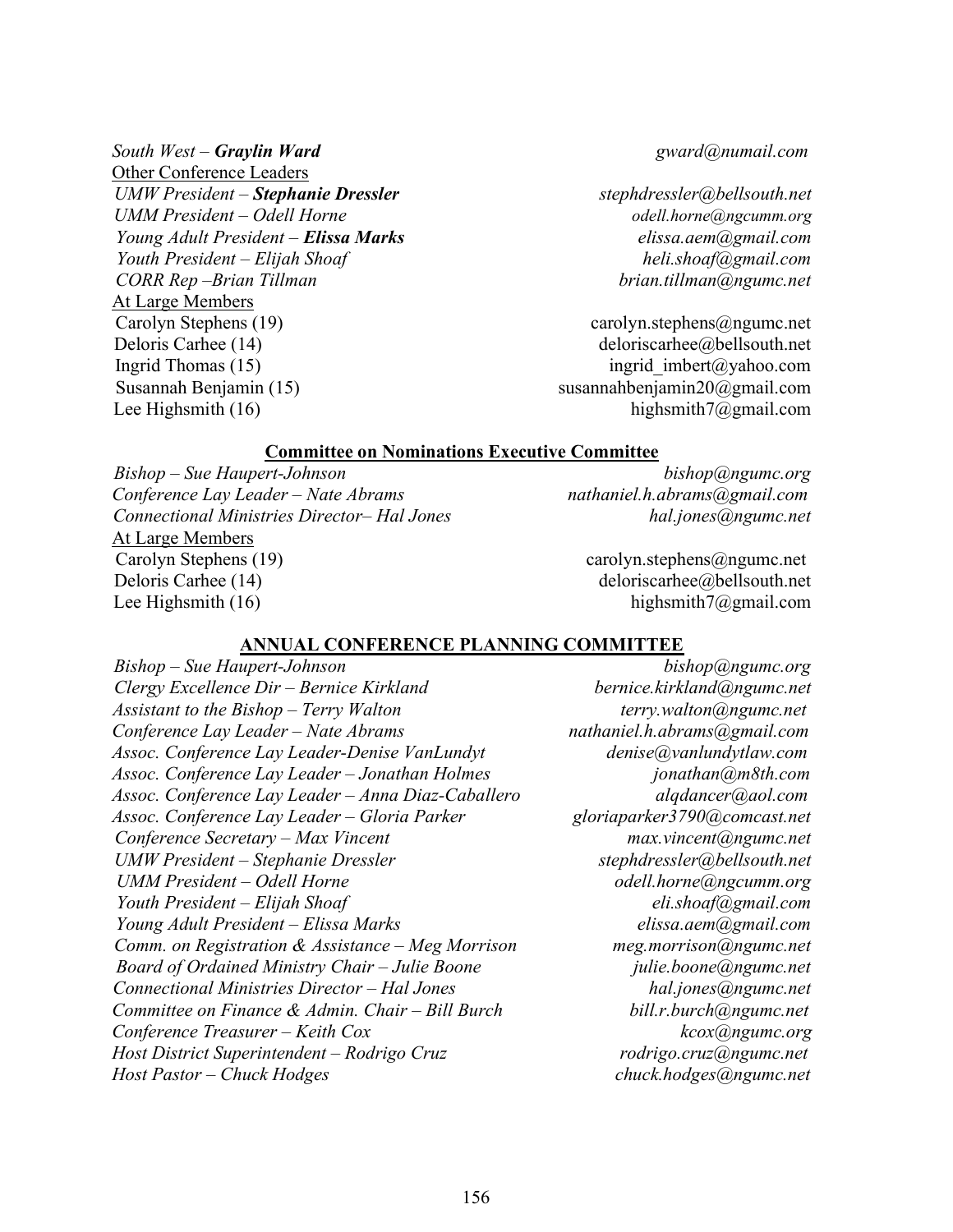Other Conference Leaders UMW President – Stephanie Dressler stephanie stephdressler@bellsouth.net UMM President – Odell Horne **ogell** horne odell.horne@ngcumm.org Young Adult President – **Elissa Marks** elissa.aem(agmail.com Youth President – Elijah Shoaf heli.shoaf@gmail.com CORR Rep –Brian Tillman brian.tillman@ngumc.net At Large Members Carolyn Stephens (19) carolyn.stephens and carolyn.stephens and carolyn.stephens and carolyn.stephens and carolyn.stephens and carolyn.stephens and carolyn.stephens and carolyn.stephens and carolyn.stephens and carolyn.ste Deloris Carhee (14) deloriscarhee @bellsouth.net Ingrid Thomas (15) ingrid imbert@yahoo.com Susannah Benjamin (15)  $\qquad \qquad$  susannahbenjamin20@gmail.com Lee Highsmith (16) highsmith7@gmail.com

#### South West – **Graylin Ward** gward@numail.com

#### Committee on Nominations Executive Committee

Bishop – Sue Haupert-Johnson bishop@ngumc.org Conference Lay Leader – Nate Abrams nathaniel.h.abrams@gmail.com Connectional Ministries Director– Hal Jones hall in the hal.jones@ngumc.net At Large Members Carolyn Stephens (19) carolyn.stephens@ngumc.net Deloris Carhee (14) deloriscarhee (14) deloriscarhee (2016) deloriscarhee (2016) deloriscarhee (2016) deloriscarhee (2016) deloriscarhee (2016) deloriscarhee (2016) deloriscarhee (2016) deloriscarhee (2016) deloriscarhee ( Lee Highsmith  $(16)$  highsmith $7@g$ gmail.com

#### ANNUAL CONFERENCE PLANNING COMMITTEE

Bishop – Sue Haupert-Johnson bishop@ngumc.org Clergy Excellence Dir – Bernice Kirkland bernice.kirkland@ngumc.net Assistant to the Bishop – Terry Walton  $A$ ssistant to the Bishop – Terry Walton terry.walton  $\omega$ ngumc.net Conference Lay Leader – Nate Abrams nathaniel.h.abrams@gmail.com Assoc. Conference Lay Leader-Denise VanLundyt denise@vanlundytlaw.com Assoc. Conference Lay Leader – Jonathan Holmes jonathan@m8th.com Assoc. Conference Lay Leader – Anna Diaz-Caballero alqdancer@aol.com Assoc. Conference Lay Leader – Gloria Parker gloriaparker3790@comcast.net Conference Secretary – Max Vincent max.vincent max.vincent angume.net UMW President – Stephanie Dressler stephanie stephdressler@bellsouth.net UMM President – Odell Horne **of the set of the set of the set of the set of the set of the set of the set of the set of the set of the set of the set of the set of the set of the set of the set of the set of the set of the** Youth President – Elijah Shoaf elishoaf eli.shoaf eli.shoaf eli.shoaf eliterature eliterature eliterature eli Young Adult President – Elissa Marks elissa.aem(@gmail.com Comm. on Registration & Assistance – Meg Morrison meg.morrison@ngumc.net Board of Ordained Ministry Chair – Julie Boone in the pullie boone angume.net Connectional Ministries Director – Hal Jones hall in the hall innes hall in the hall in the hall in the hall in the hall in the hall in the hall in the hall in the hall in the hall in the hall in the hall in the hall in th Committee on Finance & Admin. Chair – Bill Burch  $\ddot{\text{b}}$  bill.r.burch@ngumc.net Conference Treasurer – Keith Cox kcox angle kcox angle kcox angle kcox angle kcox angle kcox angle kcox angle kcox angle kcox angle kcox angle kcox angle kcox angle kcox angle kcox angle kcox angle kcox angle kcox angle kc Host District Superintendent – Rodrigo Cruz rodrigo.cruz@ngumc.net Host Pastor – Chuck Hodges chuck.hodges@ngumc.net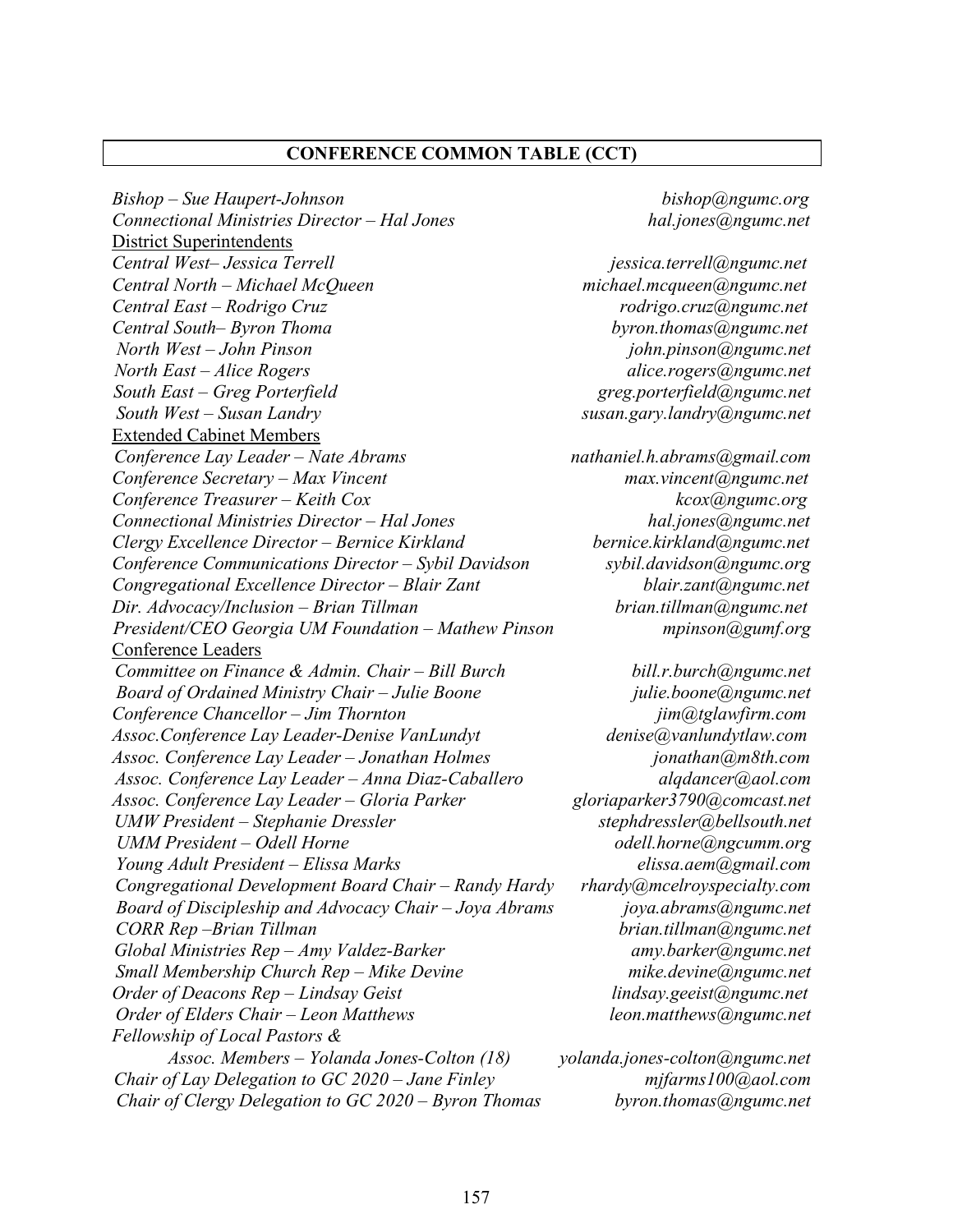#### CONFERENCE COMMON TABLE (CCT)

Bishop – Sue Haupert-Johnson bishop@ngumc.org Connectional Ministries Director – Hal Jones hal.jones@ngumc.net District Superintendents Central West-Jessica Terrell is a series of the series of the series of the series of the series of the series of the series of the series of the series of the series of the series of the series of the series of the series Central North – Michael McQueen michael.mcqueen@ngumc.net Central East – Rodrigo Cruz *rodrigo.cruz@ngumc.net* Central South– Byron Thoma byron.thomas@ngumc.net North West – John Pinson<br>North East – Alice Rogers discussed by the same in the set of the set of the set of the set of the set of the s<br>alice rogers alice in the set of the set of the set of the set of the set of the set North East – Alice Rogers South East – Greg Porterfield greg.porterfield@ngumc.net South West – Susan Landry susan.gary.landry@ngumc.net Extended Cabinet Members  $\overline{Conference \, Lay \, Leader - Nate \, Abrams}$  nathaniel.h.abrams@gmail.com Conference Secretary – Max Vincent max.vincent max.vincent max.vincent max.vincent max.vincent max.vincent max.vincent max.vincent max.vincent max.vincent max.vincent max.vincent max.vincent max.vincent max.vincent max.vin  $Conference$  Treasurer – Keith Cox  $k\cos(\overline{a})$  kcox $(\overline{a})$ ngumc.org Connectional Ministries Director – Hal Jones<br>Clergy Excellence Director – Bernice Kirkland (angumc.net bernice.kirkland@ngumc.net Clergy Excellence Director – Bernice Kirkland<br>Conference Communications Director – Sybil Davidson sybil.davidson@ngumc.org Conference Communications Director – Sybil Davidson Congregational Excellence Director – Blair Zant blair.zant@ngumc.net Dir. Advocacy/Inclusion – Brian Tillman brian.tillman@ngumc.net President/CEO Georgia UM Foundation - Mathew Pinson mpinson@gumf.org Conference Leaders Committee on Finance & Admin. Chair – Bill Burch  $\omega$  bill.r.burch@ngumc.net Board of Ordained Ministry Chair – Julie Boone *julie.boone@ngumc.net*<br>Conference Chancellor – Jim Thornton *jim@tglawfirm.com* Conference Chancellor – Jim Thornton<br>Assoc.Conference Lay Leader-Denise VanLundyt denise@yanlundytlaw.com Assoc.Conference Lay Leader-Denise VanLundyt Assoc. Conference Lay Leader – Jonathan Holmes jonathan am8th.com Assoc. Conference Lay Leader – Anna Diaz-Caballero alqdancer@aol.com<br>Assoc. Conference Lay Leader – Gloria Parker and gloriaparker3790@comcast.net Assoc. Conference Lay Leader – Gloria Parker gloriaparker3790@comcast.net UMW President – Stephanie Dressler UMM President – Odell Horne **of the Contract of the Contract of Contract Contract of Contract Oriental** Young Adult President – Elissa Marks elissa.aem(@gmail.com Congregational Development Board Chair - Randy Hardy rhardy@mcelroyspecialty.com Board of Discipleship and Advocacy Chair – Joya Abrams  $\omega$  joya.abrams $\omega$ ngumc.net CORR Rep –Brian Tillman brian.tillman@ngumc.net  $Global$  Ministries  $Rep - Amy$  Valdez-Barker and the same value of  $amy$ . barker  $@$  ngumc.net Small Membership Church Rep – Mike Devine mike.devine@ngumc.net Order of Deacons Rep – Lindsay Geist and dinasay.geeist@ngumc.net Order of Elders Chair – Leon Matthews and American leon.matthews angume.net Fellowship of Local Pastors & Assoc. Members – Yolanda Jones-Colton (18) yolanda.jones-colton@ngumc.net Chair of Lay Delegation to GC 2020 – Jane Finley mifarms100 $@a$ ol.com Chair of Clergy Delegation to GC 2020 – Byron Thomas byron.thomas @ngumc.net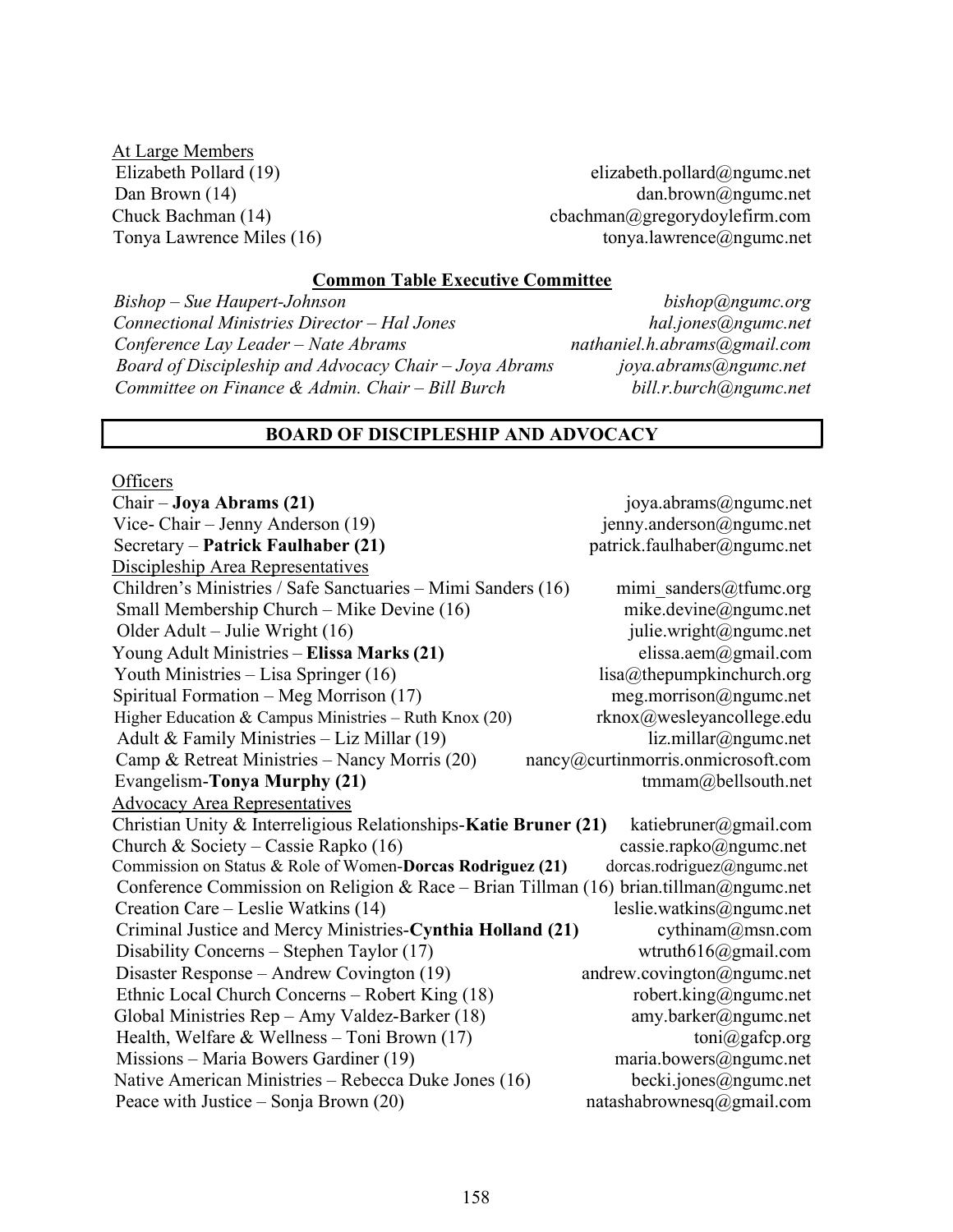At Large Members<br>Elizabeth Pollard (19)

 $elizableth.pollard@ngume.net$ Dan Brown (14) dan.brown@ngumc.net Chuck Bachman (14) cbachman@gregorydoylefirm.com Tonya Lawrence Miles (16) tonya.lawrence@ngumc.net

#### Common Table Executive Committee

Bishop – Sue Haupert-Johnson bishop@ngumc.org Connectional Ministries Director – Hal Jones<br>Conference Lay Leader – Nate Abrams hathaniel.h.abrams@gmail.com Conference Lay Leader – Nate Abrams Board of Discipleship and Advocacy Chair – Joya Abrams joya.abrams@ngumc.net<br>Committee on Finance & Admin. Chair – Bill Burch bill.r.burch@ngumc.net Committee on Finance & Admin. Chair – Bill Burch

#### BOARD OF DISCIPLESHIP AND ADVOCACY

**Officers** 

| Chair – Joya Abrams (21)                                                              | joya.abrams@ngumc.net              |
|---------------------------------------------------------------------------------------|------------------------------------|
| Vice- Chair – Jenny Anderson (19)                                                     | jenny.anderson@ngumc.net           |
| Secretary – Patrick Faulhaber (21)                                                    | patrick.faulhaber@ngumc.net        |
| Discipleship Area Representatives                                                     |                                    |
| Children's Ministries / Safe Sanctuaries - Mimi Sanders (16)                          | mimi sanders@tfumc.org             |
| Small Membership Church - Mike Devine (16)                                            | mike.devine@ngumc.net              |
| Older Adult – Julie Wright (16)                                                       | julie.wright@ngumc.net             |
| Young Adult Ministries – Elissa Marks (21)                                            | elissa.aem@gmail.com               |
| Youth Ministries - Lisa Springer (16)                                                 | lisa@thepumpkinchurch.org          |
| Spiritual Formation - Meg Morrison (17)                                               | meg.morrison@ngumc.net             |
| Higher Education & Campus Ministries - Ruth Knox $(20)$                               | rknox@wesleyancollege.edu          |
| Adult & Family Ministries - Liz Millar (19)                                           | liz.millar@ngume.net               |
| Camp & Retreat Ministries - Nancy Morris (20)                                         | nancy@curtinmorris.onmicrosoft.com |
| Evangelism-Tonya Murphy (21)                                                          | tmmam@bellsouth.net                |
| <b>Advocacy Area Representatives</b>                                                  |                                    |
| Christian Unity & Interreligious Relationships-Katie Bruner (21)                      | katiebruner@gmail.com              |
| Church & Society – Cassie Rapko (16)                                                  | cassie.rapko@ngumc.net             |
| Commission on Status & Role of Women-Dorcas Rodriguez (21)                            | dorcas.rodriguez@ngumc.net         |
| Conference Commission on Religion & Race – Brian Tillman (16) brian.tillman@ngumc.net |                                    |
| Creation Care – Leslie Watkins (14)                                                   | leslie.watkins@ngumc.net           |
| Criminal Justice and Mercy Ministries-Cynthia Holland (21)                            | cythinam@msn.com                   |
| Disability Concerns – Stephen Taylor (17)                                             | wtruth616@gmail.com                |
| Disaster Response – Andrew Covington (19)                                             | andrew.covington@ngumc.net         |
| Ethnic Local Church Concerns – Robert King (18)                                       | robert.king@ngumc.net              |
| Global Ministries Rep - Amy Valdez-Barker (18)                                        | amy.barker@ngumc.net               |
| Health, Welfare & Wellness - Toni Brown $(17)$                                        | toni@gafcp.org                     |
| Missions - Maria Bowers Gardiner (19)                                                 | maria.bowers@ngumc.net             |
| Native American Ministries - Rebecca Duke Jones (16)                                  | becki.jones@ngumc.net              |
| Peace with Justice – Sonja Brown $(20)$                                               | natashabrownesq@gmail.com          |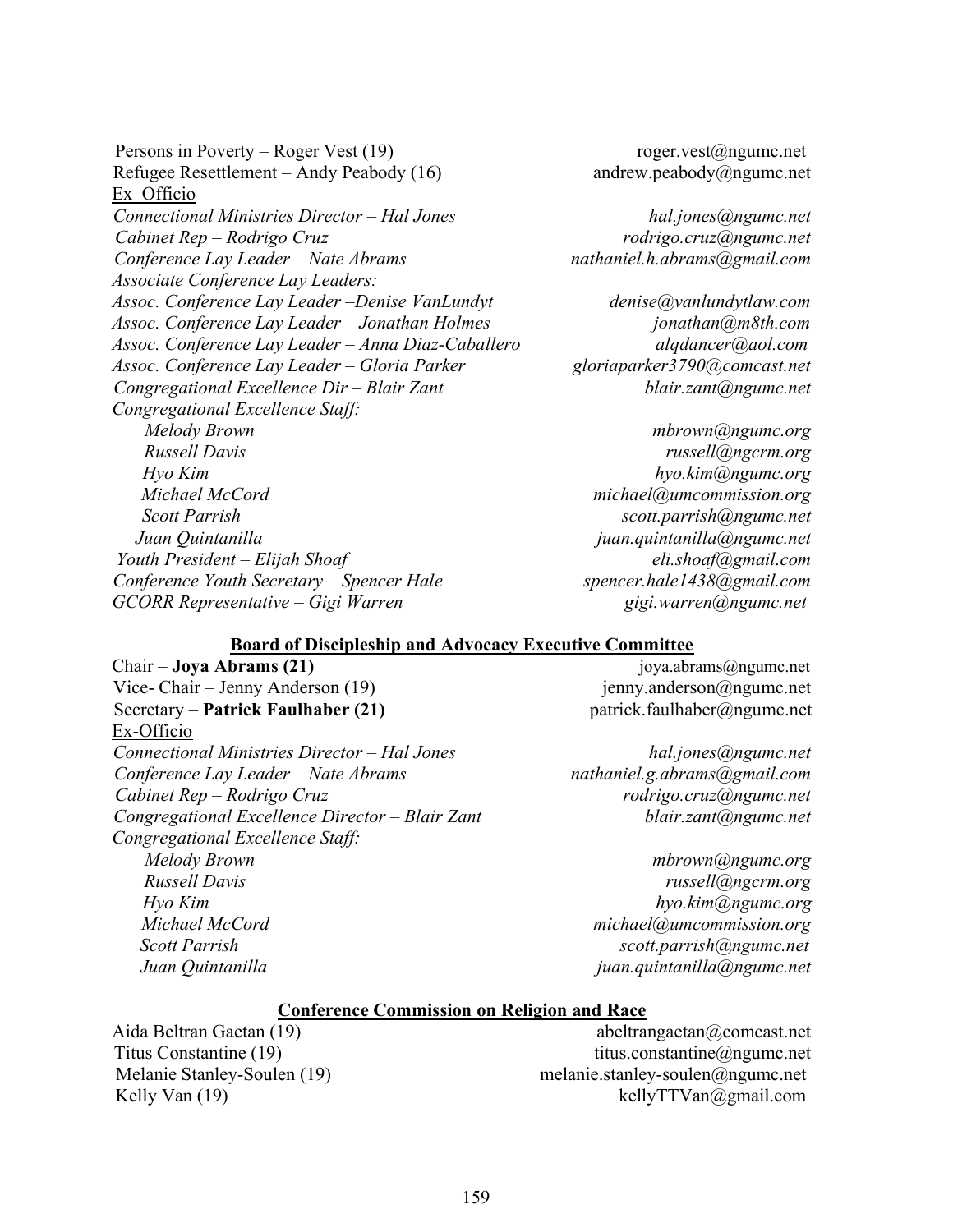Persons in Poverty – Roger Vest (19) roger.vest@ngumc.net Refugee Resettlement – Andy Peabody  $(16)$  andrew.peabody  $\omega$ ngumc.net Ex–Officio Connectional Ministries Director – Hal Jones hall intervalsed hall intervalsed hall intervalsed hall intervalsed ha Cabinet Rep – Rodrigo Cruz rodrigo.cruz@ngumc.net Conference Lay Leader – Nate Abrams nathaniel.h.abrams (algmail.com Associate Conference Lay Leaders: Assoc. Conference Lay Leader – Denise VanLundyt denise@vanlundytlaw.com Assoc. Conference Lay Leader – Jonathan Holmes jonathan@m8th.com Assoc. Conference Lay Leader – Anna Diaz-Caballero anno algdancer@aol.com Assoc. Conference Lay Leader – Gloria Parker gloriaparker3790@comcast.net  $Congregational\,Excellence\,Dir-Blair\,Zant$  blair.zant blair.zant blair.zant blair.zant blair.zant blair.zant blair.zant blair.zant blair.zant blair.zant blair.zant blair.zant blair.zant blair.zant blair.zant blair.zant blair.zant blair.zant bl Congregational Excellence Staff: Melody Brown mbrown mbrown mbrown mbrown mbrown mbrown mbrown mbrown mbrown mbrown mbrown mbrown m Russell Davis russell@ngcrm.org Hyo Kim hypo.kim and hypo.kim and hypo.kim and hypo.kim and hypo.kim and hypo.kim and hypo.kim and hypo.kim and hypo.kim and hypo.kim and hypo.kim and hypo.kim and hypo.kim and hypo.kim and hypo.kim and hypo.kim and hypo.k Michael McCord michael@umcommission.org Scott Parrish Scott.parrish@ngumc.net Juan Quintanilla juan.quintanilla@ngumc.net Youth President – Elijah Shoaf elishoaf eli.shoaf eli.shoaf eli.shoaf eliterature eliterature eliterature eli Conference Youth Secretary – Spencer Hale spencer.hale1438@gmail.com GCORR Representative – Gigi Warren metalah sekarang gigi.warren ang metalah gigi.warren ang metalah sekara ter

#### Board of Discipleship and Advocacy Executive Committee

Vice- Chair – Jenny Anderson (19) jenny.anderson @ngumc.net Secretary – Patrick Faulhaber (21) patrick.faulhaber (2) patrick.faulhaber (2) patrick.faulhaber (2) Ex-Officio Connectional Ministries Director – Hal Jones hal.jones@ngumc.net Conference Lay Leader – Nate Abrams nathaniel.g.abrams (a)gmail.com Cabinet Rep – Rodrigo Cruz rodrigo.cruz@ngumc.net Congregational Excellence Director – Blair Zant blair.zant@ngumc.net Congregational Excellence Staff: Melody Brown mbrown mbrown mbrown mbrown mbrown mbrown mbrown mbrown mbrown mbrown mbrown mbrown m Russell Davis russell@ngcrm.org Hyo Kim hyo.kim and hypo.kim and hypo.kim and hypo.kim and hypo.kim and hypo.kim and hypo.kim and hypo.kim and hypo.kim and hypo.kim and hypo.kim and hypo.kim and hypo.kim and hypo.kim and hypo.kim and hypo.kim and hypo.ki Michael McCord michael@umcommission.org Scott Parrish scott.parrish@ngumc.net

Chair – Joya Abrams (21) joya.abrams@ngumc.net

Juan Quintanilla juan.quintanilla@ngumc.net

#### Conference Commission on Religion and Race

Aida Beltran Gaetan (19) abeltrangaetan (2) abeltrangaetan (2) comcast.net Titus Constantine (19) titus.constantine@ngumc.net Melanie Stanley-Soulen (19) melanie.stanley-soulen@ngumc.net Kelly Van (19) kelly TTVan @gmail.com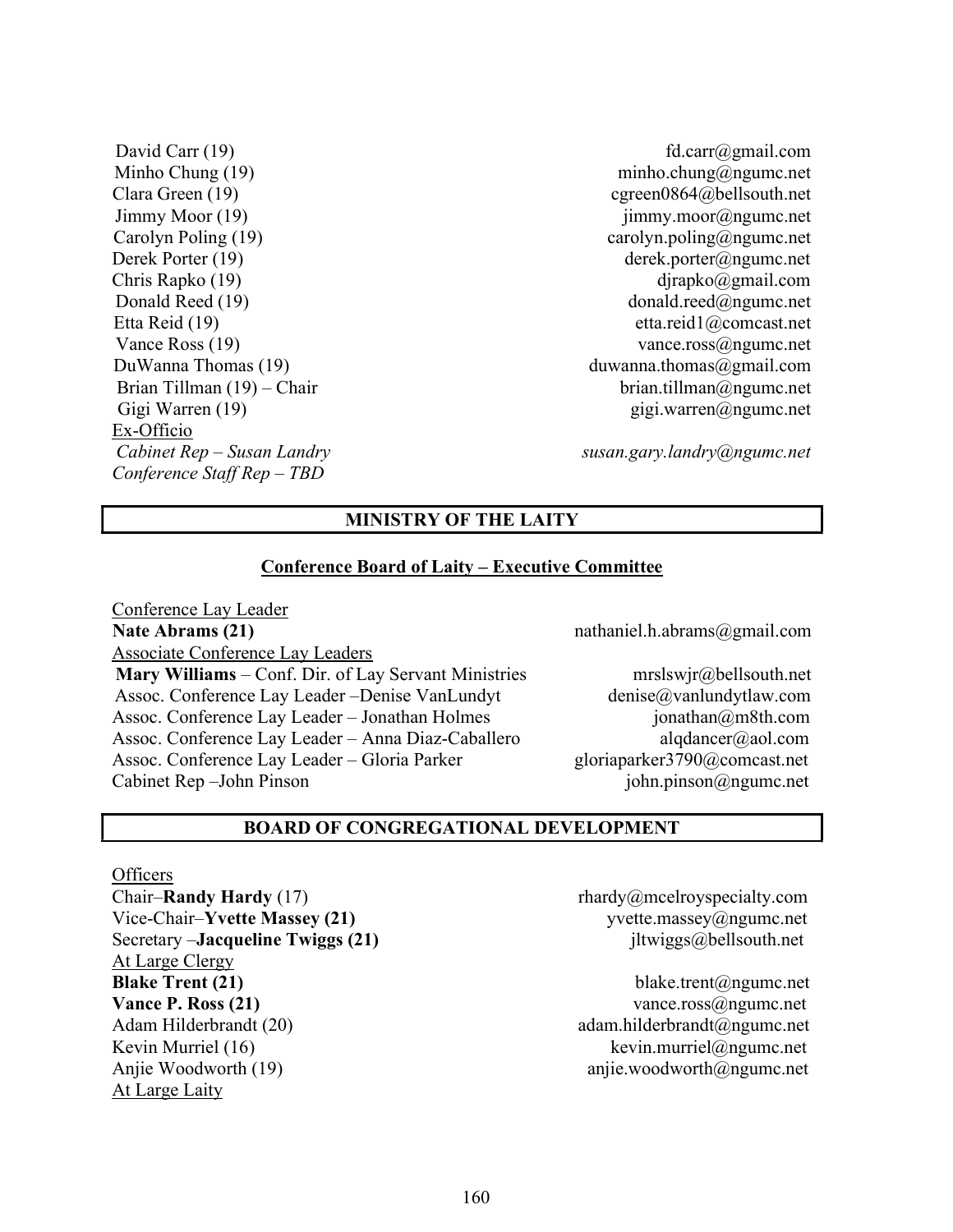David Carr (19) fd.carr@gmail.com Clara Green (19) cgreen0864@bellsouth.net Carolyn Poling (19) carolyn.poling@ngumc.net Derek Porter (19) derek.porter@ngumc.net Chris Rapko (19) djrapko (19) djrapko (19) djrapko (29 mail.com Etta Reid (19) etta.reid1@comcast.net DuWanna Thomas (19) duwanna.thomas (2) duwanna.thomas (2) duwanna.thomas (2) gmail.com Ex-Officio Cabinet Rep – Susan Landry susan.gary.landry@ngumc.net Conference Staff Rep – TBD

Minho Chung (19) minho.chung@ngumc.net Jimmy Moor (19) jimmy.moor@ngumc.net Donald Reed (19) donald.reed@ngumc.net Vance Ross (19) vance.ross@ngumc.net Brian Tillman  $(19)$  – Chair brian.tillman@ngumc.net Gigi Warren (19) Gigi Warren (19) Gigi Warren (19) Gigi Warren (2019)

# MINISTRY OF THE LAITY

#### Conference Board of Laity – Executive Committee

Conference Lay Leader Nate Abrams (21) has a mathaniel.h.abrams (22) nathaniel.h.abrams (2) gmail.com Associate Conference Lay Leaders Mary Williams – Conf. Dir. of Lay Servant Ministries mrslswjr@bellsouth.net Assoc. Conference Lay Leader –Denise VanLundyt denise@vanlundytlaw.com Assoc. Conference Lay Leader – Jonathan Holmes in its investment in its intervalse in the set of the set of the set of the set of the set of the set of the set of the set of the set of the set of the set of the set of the Assoc. Conference Lay Leader – Anna Diaz-Caballero alqdancer@aol.com Assoc. Conference Lay Leader – Gloria Parker gloriaparker3790@comcast.net Cabinet Rep –John Pinson is a series of the pinson of phine pinson  $\omega$  ngumc.net

#### BOARD OF CONGREGATIONAL DEVELOPMENT

**Officers** Chair–**Randy Hardy** (17) rhardy@mcelroyspecialty.com Vice-Chair–Yvette Massey (21) yvette.massey@ngumc.net Secretary –**Jacqueline Twiggs (21)** jltwiggs@bellsouth.net At Large Clergy Blake Trent (21) blake.trent@ngumc.net **Vance P. Ross (21)** vance.ross $\omega$ ngumc.net Adam Hilderbrandt (20) adam.hilderbrandt@ngumc.net Kevin Murriel (16) kevin.murriel@ngumc.net Anjie Woodworth (19) anjie.woodworth@ngumc.net At Large Laity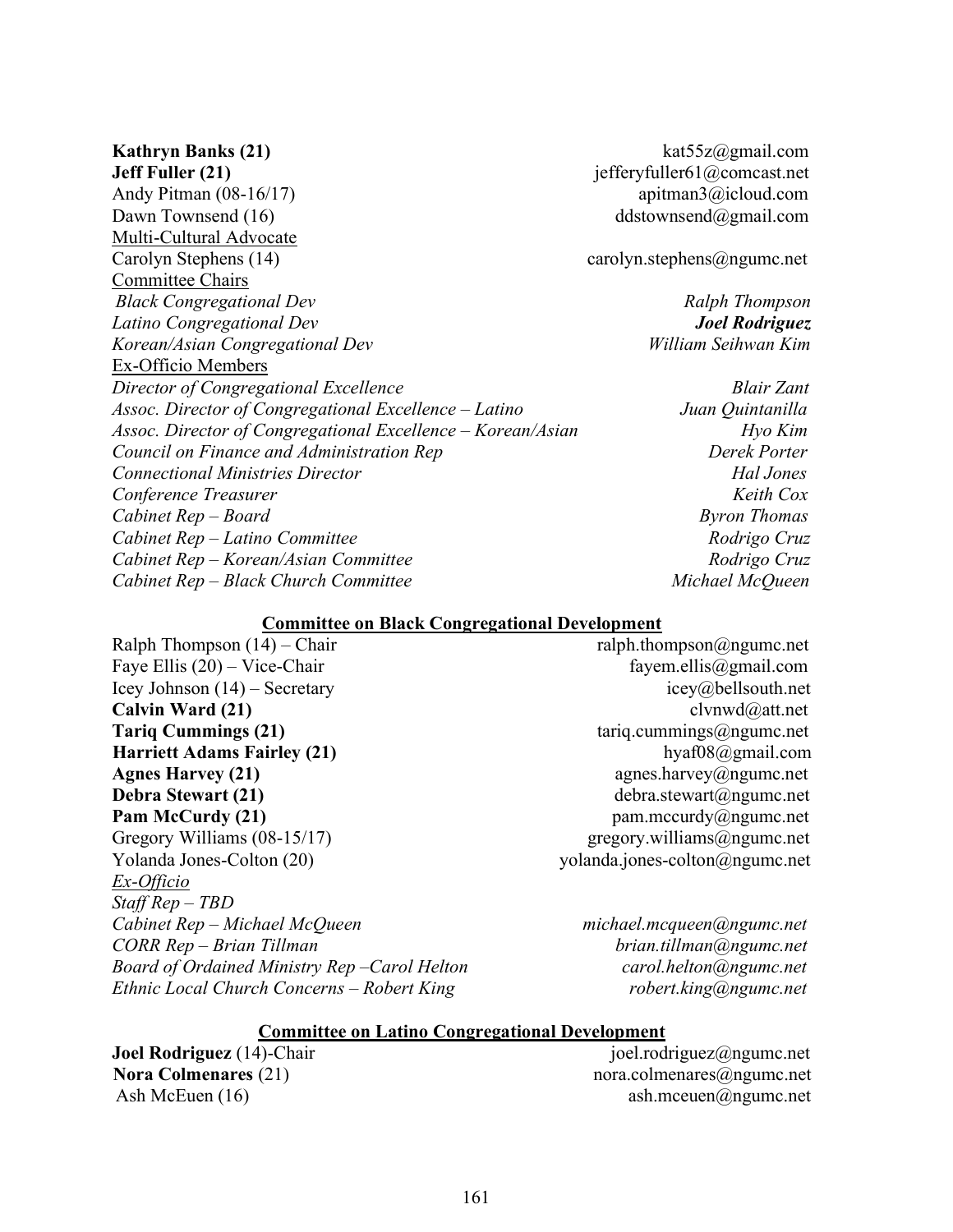Jeff Fuller (21) jefferyfuller61@comcast.net Andy Pitman (08-16/17) apitman3@icloud.com Dawn Townsend (16) ddstownsend@gmail.com Multi-Cultural Advocate Carolyn Stephens (14) carolyn.stephens  $\omega$ ngumc.net Committee Chairs Black Congregational Dev Ralph Thompson Latino Congregational Dev **Joel Rodriguez** Korean/Asian Congregational Dev William Seihwan Kim Ex-Officio Members Director of Congregational Excellence Services and Blair Zant Assoc. Director of Congregational Excellence – Latino Juan Quintanilla Assoc. Director of Congregational Excellence – Korean/Asian Hyo Kim Council on Finance and Administration Rep  $D$  Derek Porter Connectional Ministries Director Hal Jones Conference Treasurer Keith Cox  $Cabinet Rep - Board$  Byron Thomas Cabinet Rep – Latino Committee Rodrigo Cruz Cabinet Rep – Korean/Asian Committee Rodrigo Cruz Cabinet Rep – Black Church Committee Michael McQueen

Kathryn Banks (21) kat55z@gmail.com

#### Committee on Black Congregational Development

Ralph Thompson  $(14)$  – Chair ralph.thompson  $\omega$ ngumc.net Faye Ellis  $(20)$  – Vice-Chair fayem.ellis  $\omega$  fayem.ellis  $\omega$  gmail.com Icey Johnson (14) – Secretary icey (a) bellsouth.net Calvin Ward (21) clvnwd $\omega$ att.net **Tariq Cummings (21)** tariq.cummings@ngumc.net Harriett Adams Fairley (21) hyaf08@gmail.com Agnes Harvey  $(21)$  agnes.harvey@ngumc.net Debra Stewart (21) debra.stewart@ngumc.net Pam McCurdy (21) pam.mccurdy@ngumc.net Gregory Williams (08-15/17) gregory.williams@ngumc.net Yolanda Jones-Colton (20) yolanda.jones-colton@ngumc.net Ex-Officio Staff Rep – TBD Cabinet Rep – Michael McQueen michael.mcqueen@ngumc.net CORR Rep – Brian Tillman brian.tillman brian.tillman angumc.net Board of Ordained Ministry Rep –Carol Helton carol.helton@ngumc.net Ethnic Local Church Concerns – Robert King research and robert.king@ngumc.net

#### Committee on Latino Congregational Development

**Joel Rodriguez** (14)-Chair in the state of the state of the state of the state of the state of the state of the state of the state of the state of the state of the state of the state of the state of the state of the state Nora Colmenares (21) hora.colmenares (21) nora.colmenares (2) hora.colmenares (2) hora.colmenares (2) hora.colmenares (2) hora.colmenares (2) hora.colmenares (2) hora.colmenares (2) hora.colmenares (2) hora.colmenares (2) Ash McEuen (16) ash.mceuen@ngumc.net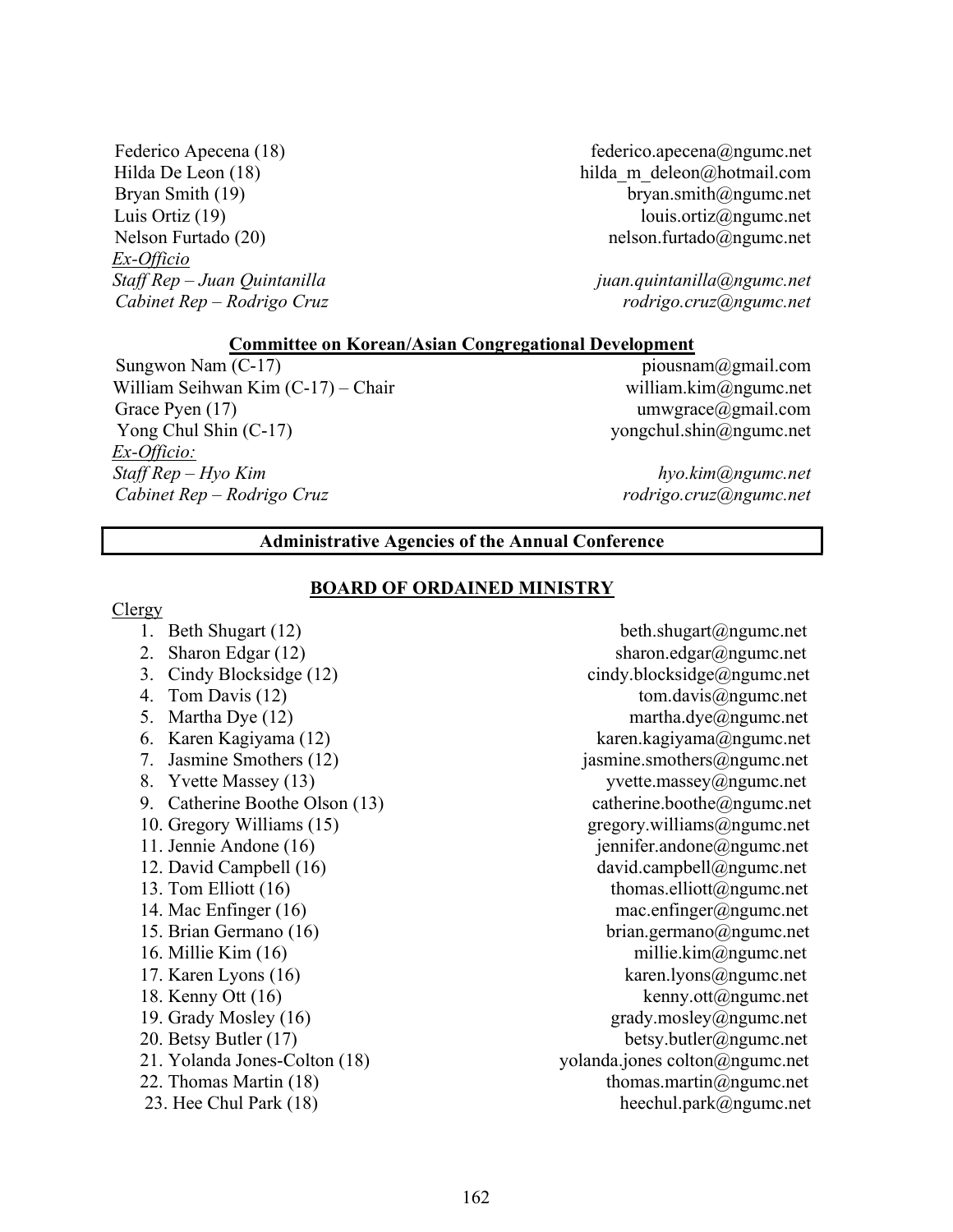Ex-Officio

Federico Apecena (18) federico.apecena@ngumc.net Hilda De Leon (18) hilda m deleon@hotmail.com Bryan Smith (19) bryan.smith@ngumc.net Luis Ortiz (19) louis.ortiz@ngumc.net Nelson Furtado (20) nelson.furtado (20) nelson.furtado (algumc.net

Staff Rep – Juan Quintanilla is a series in the set of the set of the set of the set of the set of the set of the set of the set of the set of the set of the set of the set of the set of the set of the set of the set of th Cabinet Rep – Rodrigo Cruz rodrigo.cruz@ngumc.net

#### Committee on Korean/Asian Congregational Development

Sungwon Nam (C-17) piousnam@gmail.com William Seihwan Kim  $(C-17)$  – Chair william.kim $(\partial \text{ngume.net})$ Grace Pyen (17) umwgrace@gmail.com Yong Chul Shin (C-17) yongchul.shin@ngumc.net Ex-Officio: Staff Rep – Hyo Kim hyo.kim ang kasaling kalendaryon net Cabinet Rep – Rodrigo Cruz rodrigo.cruz@ngumc.net

# Administrative Agencies of the Annual Conference

Clergy

# BOARD OF ORDAINED MINISTRY

- 
- 
- 
- 
- 
- 
- 
- 
- 9. Catherine Boothe Olson (13) catherine.boothe@ngumc.net
- 
- 
- 
- 
- 
- 
- 
- 
- 
- 
- 
- 
- 
- 

1. Beth Shugart (12) beth.shugart@ngumc.net 2. Sharon Edgar  $(12)$  sharon.edgar@ngumc.net 3. Cindy Blocksidge (12) cindy.blocksidge@ngumc.net 4. Tom Davis (12) tom.davis@ngumc.net 5. Martha Dye (12) martha.dye@ngumc.net 6. Karen Kagiyama (12) karen.kagiyama@ngumc.net 7. Jasmine Smothers (12) jasmine.smothers@ngumc.net 8. Yvette Massey (13) yvette.massey@ngumc.net 10. Gregory Williams (15) gregory.williams  $\omega$ ngumc.net 11. Jennie Andone (16) jennifer.andone@ngumc.net 12. David Campbell (16) david.campbell@ngumc.net 13. Tom Elliott (16) thomas.elliott@ngumc.net 14. Mac Enfinger (16) mac.enfinger@ngumc.net 15. Brian Germano (16) brian.germano@ngumc.net 16. Millie Kim (16) millie.kim@ngumc.net 17. Karen Lyons (16) karen.lyons@ngumc.net 18. Kenny Ott (16) kenny.ott $(a)$ ngumc.net 19. Grady Mosley (16) grady.mosley@ngumc.net 20. Betsy Butler (17) betsy.butler@ngumc.net 21. Yolanda Jones-Colton (18) yolanda.jones colton@ngumc.net 22. Thomas Martin  $(18)$  thomas.martin $@$ ngumc.net 23. Hee Chul Park (18) heechul.park@ngumc.net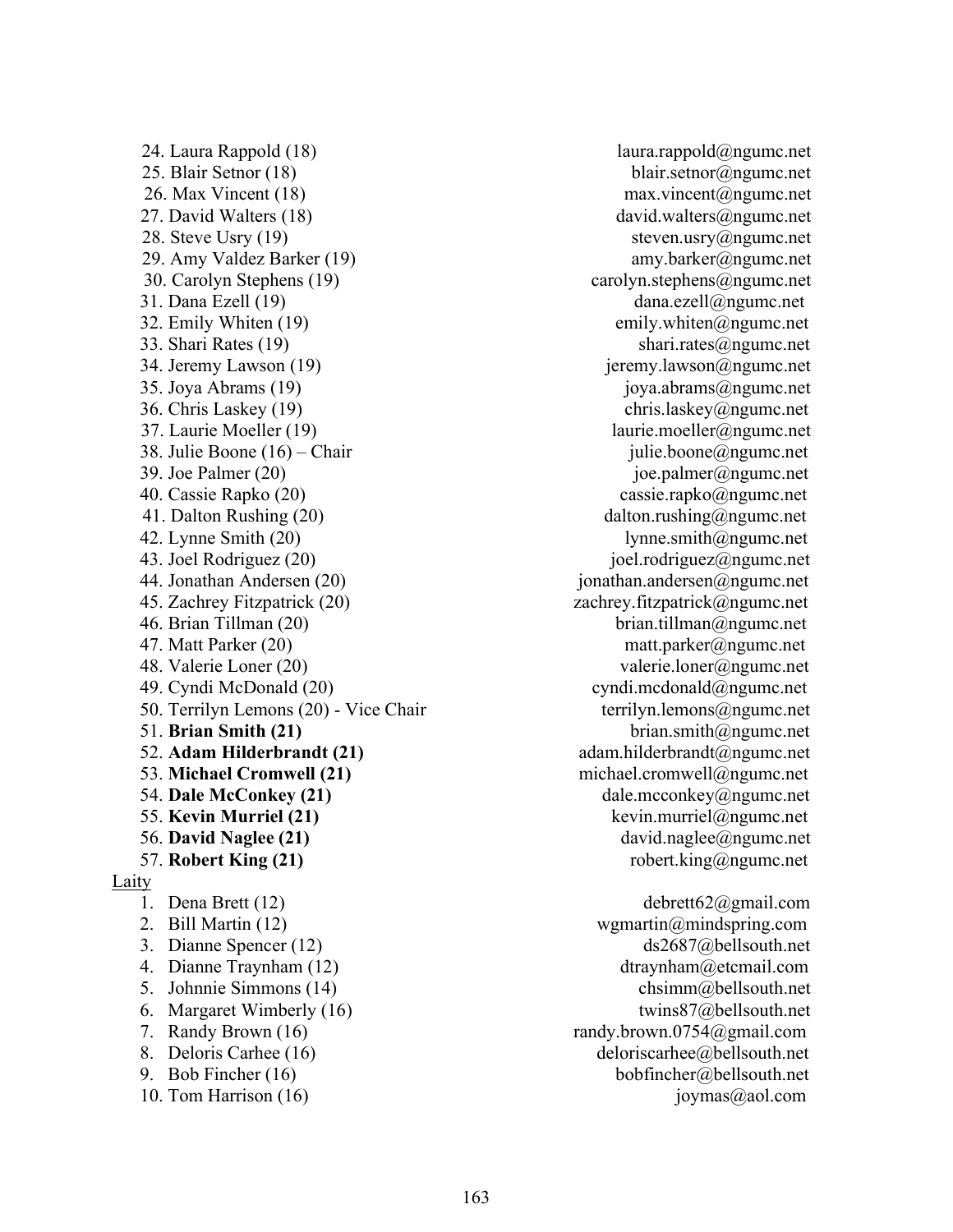24. Laura Rappold (18) laura.rappold@ngumc.net<br>25. Blair Setnor (18) laura.rappold@ngumc.net 26. Max Vincent (18) max.vincent@ngumc.net 27. David Walters (18) david.walters@ngumc.net 28. Steve Usry (19) steven.usry@ngumc.net 29. Amy Valdez Barker (19) amy.barker@ngumc.net 30. Carolyn Stephens (19) carolyn.stephens @ngumc.net 31. Dana Ezell (19) dana.ezell@ngumc.net 32. Emily Whiten  $(19)$  emily.whiten  $\omega$  ngumc.net 33. Shari Rates (19) shari.rates@ngumc.net 34. Jeremy Lawson (19) in the same property is a set of the set of the set of the set of the set of the set of the set of the set of the set of the set of the set of the set of the set of the set of the set of the set of t 35. Joya Abrams (19) joya.abrams@ngumc.net 36. Chris Laskey (19) chris.laskey@ngumc.net 37. Laurie Moeller (19) laurie.moeller@ngumc.net 38. Julie Boone (16) – Chair julie.boone@ngumc.net 39. Joe Palmer  $(20)$  joe.palmer@ngumc.net 40. Cassie Rapko (20) cassie.rapko@ngumc.net 41. Dalton Rushing (20) dalton.rushing @ngumc.net 42. Lynne Smith  $(20)$  lynne.smith $(a)$ ngumc.net 43. Joel Rodriguez (20) joel.rodriguez@ngumc.net 44. Jonathan Andersen (20) jonathan.andersen@ngumc.net 45. Zachrey Fitzpatrick (20) zachrey.fitzpatrick@ngumc.net 46. Brian Tillman (20) brian.tillman@ngumc.net 47. Matt Parker (20) matt.parker@ngumc.net 48. Valerie Loner (20) valerie.loner@ngumc.net 49. Cyndi McDonald (20) cyndi.mcdonald@ngumc.net 50. Terrilyn Lemons (20) - Vice Chair terrilyn.lemons@ngumc.net 51. Brian Smith (21) brian.smith $\omega$ ngumc.net 52. Adam Hilderbrandt (21) adam.hilderbrandt@ngumc.net 53. Michael Cromwell (21) example a michael.cromwell@ngumc.net 54. Dale McConkey  $(21)$  dale.mcconkey@ngumc.net 55. Kevin Murriel (21) kevin.murriel@ngumc.net 56. David Naglee (21) david.naglee@ngumc.net 57. Robert King (21) robert.king@ngumc.net Laity 1. Dena Brett (12) debrett62@gmail.com 2. Bill Martin (12) wgmartin @mindspring.com 3. Dianne Spencer (12) ds2687@bellsouth.net 4. Dianne Traynham (12) dtraynham dtraynham alternatil.com 5. Johnnie Simmons (14) chsimm@bellsouth.net 6. Margaret Wimberly  $(16)$  twins87@bellsouth.net 7. Randy Brown (16) randy.brown.0754@gmail.com 8. Deloris Carhee (16) deloriscarhee (a) bellsouth.net 9. Bob Fincher (16) bobfincher@bellsouth.net<br>
10. Tom Harrison (16) bobfincher@bellsouth.net<br>
joymas@aol.com 10. Tom Harrison  $(16)$ 

blair.setnor@ngumc.net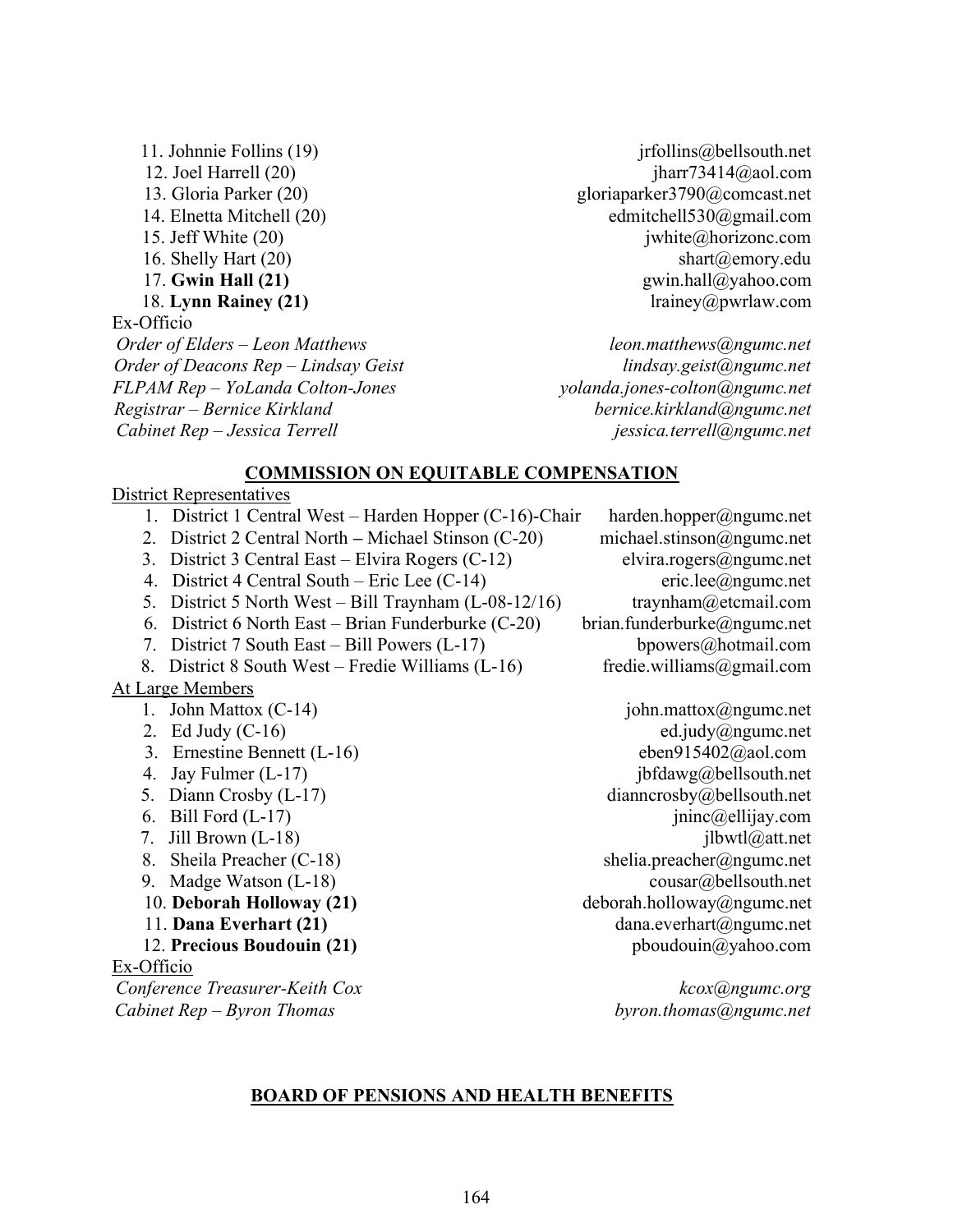13. Gloria Parker (20) gloriaparker3790@comcast.net 14. Elnetta Mitchell (20) edmitchell530@gmail.com 15. Jeff White (20) jwhite (20) jwhite (20) jwhite (20) horizonc.com 16. Shelly Hart (20) shart@emory.edu 17. Gwin Hall (21) gwin.hall@yahoo.com 18. Lynn Rainey (21) lrainey (200 lrainey (200 lrainey (200 lrainey (200 lrainey (200 lrainey (200 lrainey (20 Ex-Officio Order of Elders – Leon Matthews leon.matthews@ngumc.net Order of Deacons Rep – Lindsay Geist lindsay lindsay.geist@ngumc.net FLPAM Rep – YoLanda Colton-Jones yolanda.jones-colton@ngumc.net Registrar – Bernice Kirkland bernice.kirkland@ngumc.net

11. Johnnie Follins (19) jthe service is the service of the service of the service of the service of the service of the service of the service of the service of the service of the service of the service of the service of t 12. Joel Harrell (20) **jharr73414@aol.com** jharr73414@aol.com

Cabinet Rep – Jessica Terrell is a controllar controllation is essica.terrell angumc.net

# COMMISSION ON EQUITABLE COMPENSATION

# District Representatives

- 1. District 1 Central West Harden Hopper (C-16)-Chair harden.hopper@ngumc.net
- 2. District 2 Central North Michael Stinson (C-20) michael.stinson@ngumc.net
- 3. District 3 Central East Elvira Rogers (C-12) elvira.rogers@ngumc.net
- 4. District 4 Central South Eric Lee (C-14) eric.lee@ngumc.net
- 5. District 5 North West Bill Traynham (L-08-12/16) traynham@etcmail.com
- 6. District 6 North East Brian Funderburke (C-20) brian.funderburke@ngumc.net
- 7. District 7 South East Bill Powers (L-17) bpowers@hotmail.com
- 8. District 8 South West Fredie Williams (L-16) fredie.williams@gmail.com

# At Large Members

- 
- 
- 3. Ernestine Bennett (L-16) eben915402@aol.com
- 
- 
- 
- 
- 8. Sheila Preacher (C-18) shelia.preacher@ngumc.net
- 
- 
- 
- 

Ex-Officio

Conference Treasurer-Keith Cox kcox@ngumc.org Cabinet  $Rep-Byron$  Thomas byron.thomas byron.thomas byron.thomas by  $By$ 

1. John Mattox (C-14) john.mattox@ngumc.net 2. Ed Judy (C-16) ed.judy@ngumc.net 4. Jay Fulmer (L-17) jbfdawg@bellsouth.net 5. Diann Crosby (L-17) dianncrosby @bellsouth.net 6. Bill Ford  $(L-17)$  jninc $@$ ellijay.com 7. Jill Brown (L-18) jlbwtl@att.net

9. Madge Watson (L-18) cousar@bellsouth.net 10. Deborah Holloway (21) deborah.holloway@ngumc.net 11. Dana Everhart (21) dana.everhart (2001) dana.everhart (application of the dana.everhart (application of the dana.everhart (application of the dana ever hard (application of the dana ever hard dana eventually dana even 12. Precious Boudouin (21) pboudouin  $\omega$  phoudouin  $\omega$ yahoo.com

# BOARD OF PENSIONS AND HEALTH BENEFITS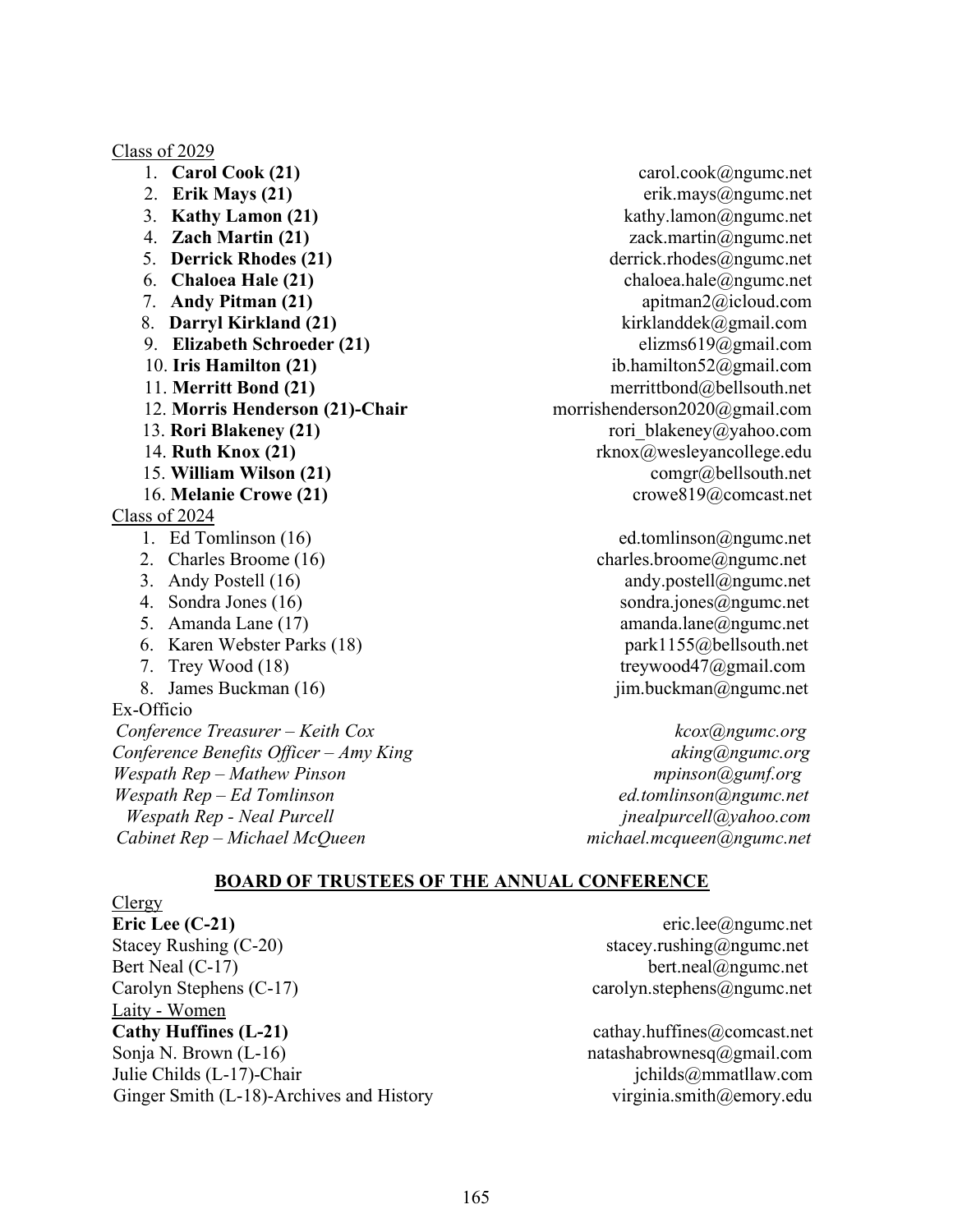Class of 2029

- 
- 
- 
- 
- 
- 
- 
- 
- 
- 
- 
- 12. Morris Henderson (21)-Chair morrishenderson2020@gmail.com
- 
- 
- 
- 

# Class of 2024

- 
- 
- 
- 
- 
- 
- 
- 

Ex-Officio Conference Treasurer – Keith Cox kcox@ngumc.org Conference Benefits Officer – Amy King  $R$  aking  $\alpha$  has a king a king a king a king a king a king a king a king a king a king a king a king a king a king a king a king a king a king a king a king a king a king a king a Wespath Rep – Mathew Pinson mpinson mpinson mpinson mpinson mpinson mpinson mpinson mpinson mpinson m  $Wespath Rep - Ed Tomlinson$  ed.tomlinson ed.tomlinson ed.tomlinson  $\omega$ ngumc.net Wespath Rep - Neal Purcell intervals and the property ineal purcell a property ineal purcell and  $j$ neal purcell a purcell a purcell a purcell a purcell a purcell a purcell a purcell a purcell a purcell a purcell a purcell Cabinet Rep – Michael McQueen michael.mcqueen@ngumc.net

1. **Carol Cook (21)** carol.cook@ngumc.net 2. Erik Mays (21) erik.mays@ngumc.net 3. Kathy Lamon  $(21)$  kathy.lamon@ngumc.net 4. **Zach Martin (21)** zack.martin@ngumc.net 5. Derrick Rhodes (21) derrick.rhodes@ngumc.net 6. **Chaloea Hale (21)** chaloea.hale@ngumc.net 7. Andy Pitman  $(21)$  apitman $2(\hat{a})$ icloud.com 8. Darryl Kirkland (21) kirklanddek@gmail.com 9. Elizabeth Schroeder (21) elizms619@gmail.com 10. Iris Hamilton (21) ib.hamilton52@gmail.com 11. Merritt Bond (21) merrittbond@bellsouth.net 13. Rori Blakeney (21) rori blakeney (200 rori blakeney (200 rori blakeney (200 rori blakeney (200 rori) 14. Ruth Knox  $(21)$  rknox $\mathcal{Q}$ wesleyancollege.edu 15. William Wilson (21) comgr@bellsouth.net 16. Melanie Crowe (21) crowe819@comcast.net

1. Ed Tomlinson (16) ed.tomlinson@ngumc.net 2. Charles Broome (16) charles.broome@ngumc.net 3. Andy Postell (16) andy.postell@ngumc.net 4. Sondra Jones (16) sondra.jones@ngumc.net 5. Amanda Lane (17) amanda.lane@ngumc.net 6. Karen Webster Parks (18) park1155@bellsouth.net 7. Trey Wood (18) treywood47@gmail.com 8. James Buckman  $(16)$  jim.buckman  $\omega$ ngumc.net

#### BOARD OF TRUSTEES OF THE ANNUAL CONFERENCE

Clergy **Eric Lee (C-21)** eric.lee@ngumc.net Stacey Rushing (C-20) stacey.rushing@ngumc.net Bert Neal (C-17) bert.neal@ngumc.net Carolyn Stephens (C-17) carolyn.stephens@ngumc.net Laity - Women Cathy Huffines (L-21) cathay.huffines@comcast.net Sonja N. Brown (L-16) hatashabrownesq@gmail.com Julie Childs (L-17)-Chair jchilds @mmatllaw.com Ginger Smith (L-18)-Archives and History virginia.smith@emory.edu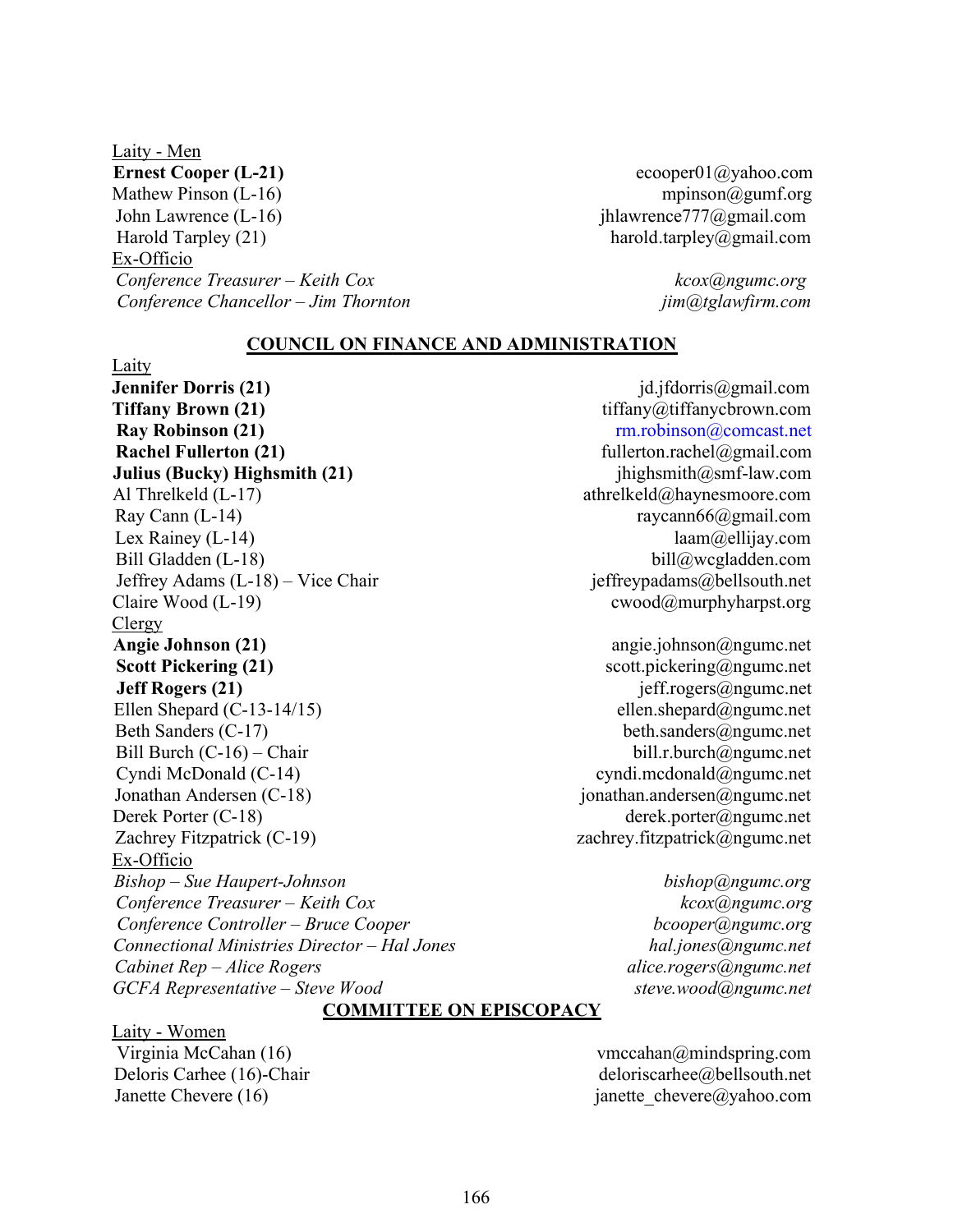Laity - Men Ernest Cooper (L-21) ecooper (1 and 2008) ecooper (2 and 2008) ecooper (2 and 2008) ecooper (2 and 2008) expansion extends to the extension extends to the extension ecooper (2 and 2 and 2 and 2 and 2 and 2 and 2 and 2 and Mathew Pinson (L-16) mpinson@gumf.org John Lawrence (L-16) jhlawrence777@gmail.com Harold Tarpley (21) harold.tarpley@gmail.com Ex-Officio Conference Treasurer – Keith Cox kcox@ngumc.org Conference Chancellor – Jim Thornton in the same imaging content of the content of the content of the content of the content of the content of the content of the content of the content of the content of the content of the

COUNCIL ON FINANCE AND ADMINISTRATION

Laity **Jennifer Dorris (21)** jd.jfdorris@gmail.com **Tiffany Brown (21)** tiffany $\omega$ tiffanychrown.com Ray Robinson (21) rm.robinson@comcast.net Rachel Fullerton (21) fullerton.rachel@gmail.com Julius (Bucky) Highsmith (21) jhighsmith  $\omega$ smf-law.com Al Threlkeld (L-17) athrelkeld@haynesmoore.com Ray Cann (L-14) raycann66@gmail.com Lex Rainey (L-14) laam (a) ellijay.com Bill Gladden (L-18) bill@wcgladden.com Jeffrey Adams (L-18) – Vice Chair jeffreypadams@bellsouth.net Claire Wood (L-19) cwood@murphyharpst.org Clergy Angie Johnson (21) angie.johnson@ngumc.net Scott Pickering (21) scott.pickering@ngumc.net **Jeff Rogers (21)** jeff.rogers@ngumc.net Ellen Shepard (C-13-14/15) ellen.shepard@ngumc.net Beth Sanders (C-17) beth.sanders@ngumc.net Bill Burch (C-16) – Chair bill.r.burch@ngumc.net Cyndi McDonald (C-14) cyndi.mcdonald@ngumc.net Jonathan Andersen (C-18) jonathan.andersen@ngumc.net Derek Porter (C-18) derek.porter@ngumc.net Zachrey Fitzpatrick (C-19) zachrey.fitzpatrick@ngumc.net Ex-Officio Bishop – Sue Haupert-Johnson bishop@ngumc.org  $Conference$  Treasurer – Keith Cox  $k\cos(\omega n)$ Conference Controller – Bruce Cooper and the controller bcooper bcooper becomes Connectional Ministries Director – Hal Jones hall in the hall innes hall in the hall in the hall in the hall in the hall in the hall in the hall in the hall in the hall in the hall in the hall in the hall in the hall in th Cabinet Rep – Alice Rogers<br>GCFA Representative – Steve Wood and alice.rogers@ngumc.net  $GCFA$  Representative – Steve Wood

janette chevere@yahoo.com

# COMMITTEE ON EPISCOPACY

Laity - Women Virginia McCahan (16) vmccahan@mindspring.com Deloris Carhee (16)-Chair deloriscarhee @bellsouth.net<br>Janette Chevere (16) deloriscarhee algoriscarhee algoriscarhee algoriscarhee algoriscarhee algoriscarhee algori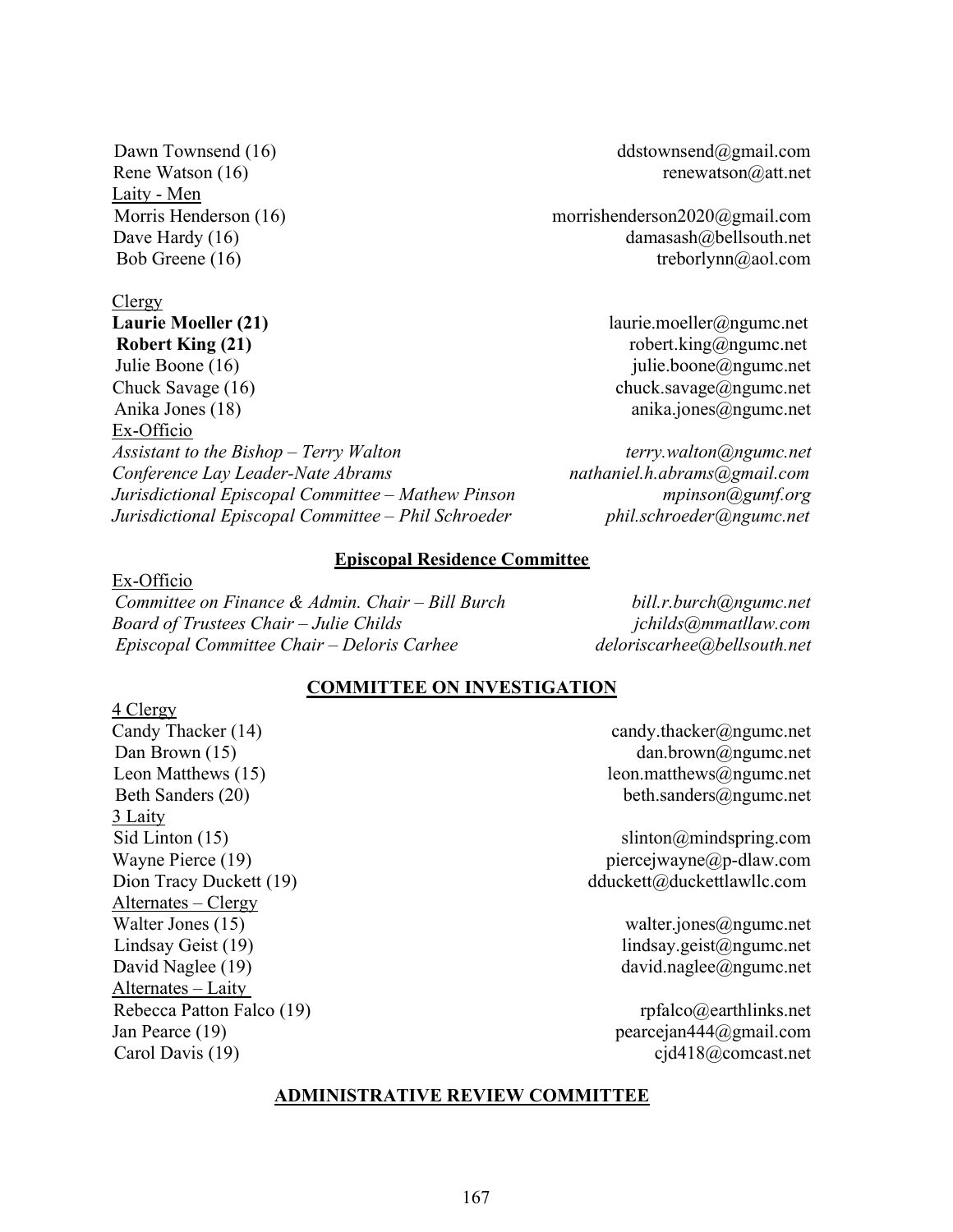Laity - Men

# Clergy

Robert King  $(21)$  robert.king  $\omega$ ngumc.net Julie Boone (16) julie.boone@ngumc.net Chuck Savage (16) chuck.savage@ngumc.net Anika Jones (18) anika.jones (18) anika.jones (18) anika.jones (2) anika.jones (2) anika.jones (2) anika.jones (2) anika.jones (2) anika.jones (2) anika.jones (2) anika.jones (2) anika.jones (2) anika.jones (2) anika.jones Ex-Officio Assistant to the Bishop – Terry Walton terry.walton terry.walton terry.walton terms of the Bishop – Terry Walton Conference Lay Leader-Nate Abrams nathaniel.h.abrams agmail.com Jurisdictional Episcopal Committee – Mathew Pinson music mpinson mpinson m Jurisdictional Episcopal Committee – Phil Schroeder *phil.schroeder@ngumc.net* 

Dawn Townsend (16) ddstownsend@gmail.com Rene Watson  $(16)$  renewatson $@at$ .net

Morris Henderson (16) morrishenderson2020@gmail.com Dave Hardy (16) damasash@bellsouth.net Bob Greene (16) treborlynn@aol.com

Laurie Moeller (21) laurie.moeller@ngumc.net

#### Episcopal Residence Committee

Ex-Officio Committee on Finance & Admin. Chair – Bill Burch  $\omega$  bill.r.burch@ngumc.net Board of Trustees Chair – Julie Childs in the state of the second school of Trustees Chair – Julie Childs in the second school of the second school of Trustees Chair – Julie Childs in the second school of the second school Episcopal Committee Chair – Deloris Carhee deloriscarhee (a) bells outh.net

#### COMMITTEE ON INVESTIGATION

4 Clergy Candy Thacker (14) candy.thacker (2) candy.thacker (2) candy.thacker (2) neuron candy.thacker 3 Laity Alternates – Clergy Walter Jones (15) walter.jones@ngumc.net Lindsay Geist (19) lindsay.geist@ngumc.net David Naglee (19) david.naglee@ngumc.net Alternates – Laity Rebecca Patton Falco (19) rpfalco  $\omega$ earthlinks.net Jan Pearce (19) pearcejan444@gmail.com Carol Davis (19) cjd418@comcast.net

Dan Brown (15) dan.brown@ngumc.net Leon Matthews (15) leon.matthews (2018) Beth Sanders (20) beth.sanders and beth.sanders and beth.sanders and beth.sanders and beth.sanders and beth.sanders and beth.sanders and beth.sanders and beth.sanders and beth.sanders and beth.sanders and beth.sanders and

Sid Linton (15) slinton@mindspring.com Wayne Pierce  $(19)$  piercejwayne  $\omega$  percejwayne  $\omega$  p-dlaw.com Dion Tracy Duckett (19) dduckett@duckettlawllc.com

#### ADMINISTRATIVE REVIEW COMMITTEE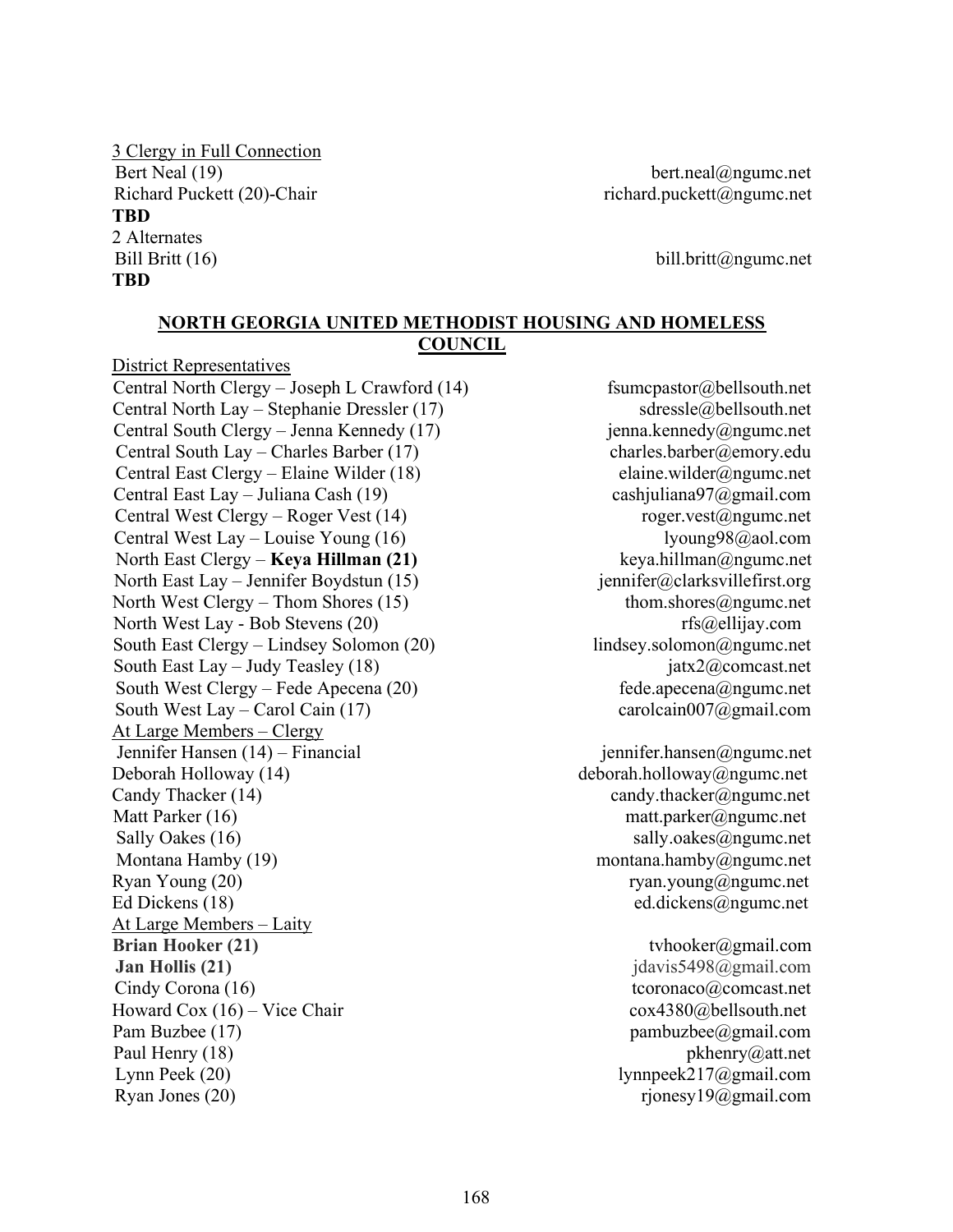# 3 Clergy in Full Connection Bert Neal (19) bert.neal@ngumc.net Richard Puckett (20)-Chair richard.puckett@ngumc.net **TBD** 2 Alternates Bill Britt (16) bill.britt@ngumc.net TBD

#### NORTH GEORGIA UNITED METHODIST HOUSING AND HOMELESS **COUNCIL**

District Representatives Central North Clergy – Joseph L Crawford  $(14)$  fsume function  $\omega$  function  $\omega$  function function function  $\omega$  bells outh.net Central North Lay – Stephanie Dressler (17) sdressle@bellsouth.net Central South Clergy – Jenna Kennedy (17) jenna.kennedy@ngumc.net Central South Lay – Charles Barber (17) charles.barber@emory.edu Central East Clergy – Elaine Wilder (18) elaine.wilder@ngumc.net Central East Lay – Juliana Cash (19) cashjuliana97@gmail.com Central West Clergy – Roger Vest (14) roger.vest@ngumc.net Central West Lay – Louise Young (16) lyoung98@aol.com<br>
North East Clergy – **Keva Hillman (21)** keva.hillman@ngumc.net North East Clergy – Keya Hillman  $(21)$ North East Lay – Jennifer Boydstun (15) jennifer@clarksvillefirst.org North West Clergy – Thom Shores (15) thom.shores  $\omega_{\text{ngume.net}}$ North West Lay - Bob Stevens (20) rfs@ellijay.com South East Clergy – Lindsey Solomon (20) lindsey.solomon@ngumc.net South East Lay – Judy Teasley (18) jatx2 $@$ comcast.net South West Clergy – Fede Apecena  $(20)$  fede.apecena $\omega$ ngumc.net South West Lay – Carol Cain (17) carolcain007@gmail.com At Large Members – Clergy Jennifer Hansen (14) – Financial jennifer.hansen@ngumc.net Deborah Holloway (14) deborah.holloway@ngumc.net Candy Thacker (14) candy.thacker@ngumc.net Matt Parker (16) matt.parker@ngumc.net Sally Oakes (16) sally.oakes@ngumc.net Montana Hamby (19) montana.hamby@ngumc.net Ryan Young  $(20)$  ryan.young $@$ ngumc.net Ed Dickens (18) ed.dickens (2) ed.dickens (2) ed.dickens (2) ed.dickens (2) ed.dickens (2) ed.dickens (2) ed.dickens (2) ed.dickens (2) ed.dickens (2) ed.dickens (2) ed.dickens (2) ed.dickens (2) ed.dickens (2) ed.dickens At Large Members – Laity **Brian Hooker (21)** tvhooker (2001) to the state of the state of the state of the state of the state of the state of the state of the state of the state of the state of the state of the state of the state of the state of t **Jan Hollis (21)** jdavis5498@gmail.com Cindy Corona (16) tcoronaco@comcast.net Howard Cox  $(16)$  – Vice Chair cox4380@bellsouth.net Pam Buzbee (17) pambuzbee  $\omega$ gmail.com Paul Henry (18) pkhenry (2) pkhenry (2) pkhenry (2) att.net Lynn Peek (20) lynnpeek217@gmail.com Ryan Jones  $(20)$  rjonesy $19@g$ gmail.com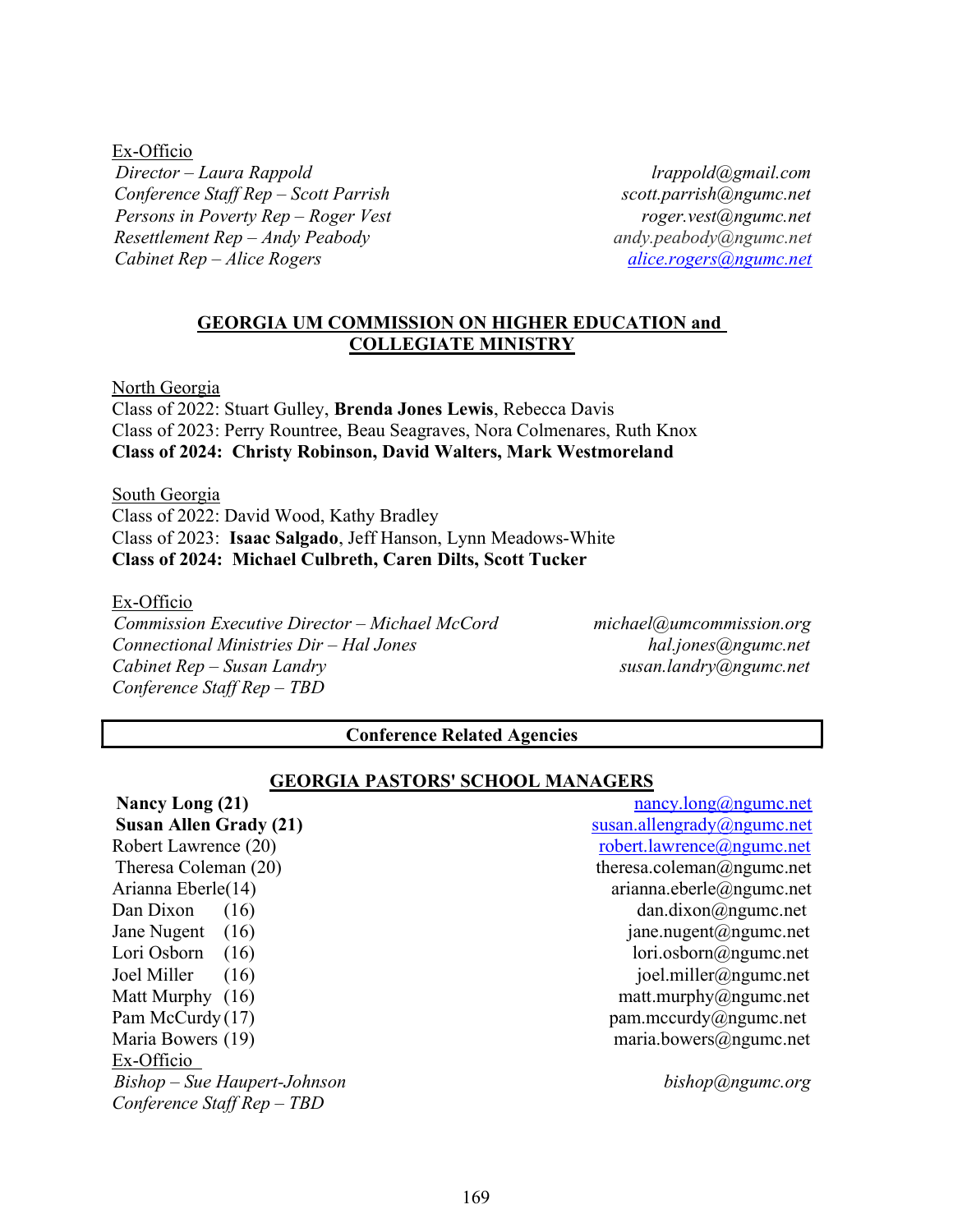Ex-Officio Director – Laura Rappold late and the contract of the contract of the lrappold agmail.com Conference Staff Rep – Scott Parrish scott.parrish scott.parrish and scott.parrish and scott.parrish and scott.parrish and scott.parrish and scott.parrish and scott.parrish and scott.parrish and scott.parrish and scott.par Persons in Poverty Rep – Roger Vest roger.vest@ngumc.net Resettlement Rep – Andy Peabody andy meabody andy peabody and andy peabody angume.net Cabinet  $Rep - Alice Rogers$  and  $G$  alice.rogers  $\omega$  alice.rogers  $\omega$  ng umc.net

#### GEORGIA UM COMMISSION ON HIGHER EDUCATION and COLLEGIATE MINISTRY

North Georgia

Class of 2022: Stuart Gulley, Brenda Jones Lewis, Rebecca Davis Class of 2023: Perry Rountree, Beau Seagraves, Nora Colmenares, Ruth Knox Class of 2024: Christy Robinson, David Walters, Mark Westmoreland

South Georgia Class of 2022: David Wood, Kathy Bradley Class of 2023: Isaac Salgado, Jeff Hanson, Lynn Meadows-White Class of 2024: Michael Culbreth, Caren Dilts, Scott Tucker

Ex-Officio

Commission Executive Director – Michael McCord michael@umcommission.org Connectional Ministries Dir – Hal Jones hal.jones@ngumc.net  $Cabinet Rep-Susan Landry$  susan.landry@ngumc.net Conference Staff Rep – TBD

#### Conference Related Agencies

#### GEORGIA PASTORS' SCHOOL MANAGERS

Nancy Long (21) nancy.long@ngumc.net Susan Allen Grady (21) Susan.allengrady@ngumc.net Robert Lawrence (20) robert.lawrence@ngumc.net Theresa Coleman (20) theresa.coleman@ngumc.net Arianna Eberle(14) arianna.eberle@ngumc.net Dan Dixon  $(16)$  dan.dixon@ngumc.net Jane Nugent (16) jane.nugent@ngumc.net Lori Osborn (16) lori.osborn@ngumc.net Joel Miller (16) joel.miller@ngumc.net Matt Murphy (16) matt.murphy@ngumc.net Pam McCurdy (17)<br>
Maria Bowers (19) pam.mccurdy@ngumc.net<br>
maria.bowers@ngumc.net  $maria.bowers@ngume.net$ Ex-Officio Bishop – Sue Haupert-Johnson bishop@ngumc.org Conference Staff Rep – TBD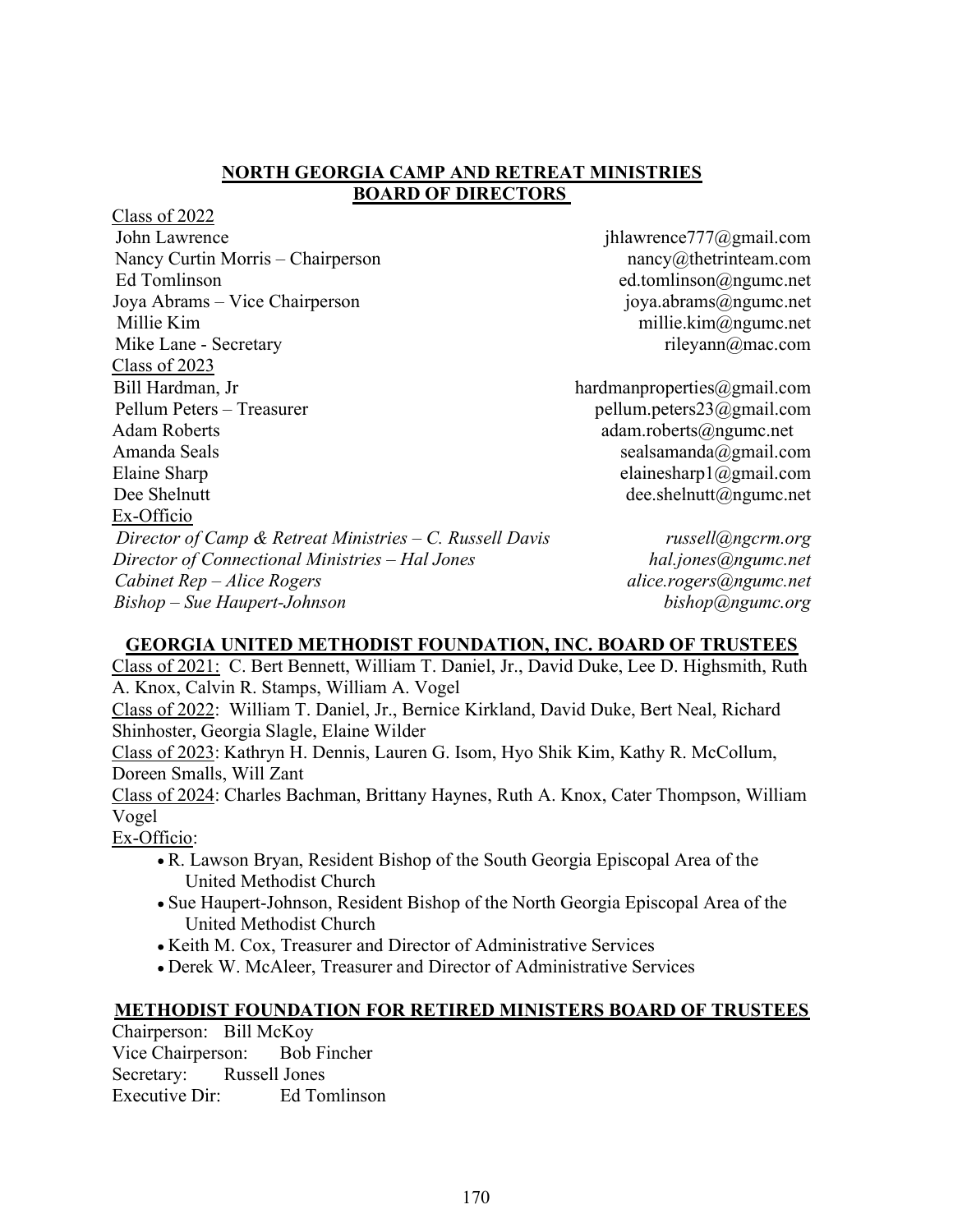#### NORTH GEORGIA CAMP AND RETREAT MINISTRIES BOARD OF DIRECTORS

Class of 2022 John Lawrence jhlawrence777@gmail.com Nancy Curtin Morris – Chairperson nancy and nancy at http://www.mancy.com Ed Tomlinson ed.tomlinson ed.tomlinson approximately Joya Abrams – Vice Chairperson joya.abrams@ngumc.net Millie Kim millie.kim@ngumc.net Mike Lane - Secretary rileyann@mac.com Class of 2023 Bill Hardman, Jr hardmanproperties@gmail.com Pellum Peters – Treasurer pellum.peters23@gmail.com Adam Roberts and a control adam.roberts adam.roberts adam.roberts and a control adam.roberts and a control adam.roberts and a control adam.roberts and a control adam.roberts and a control adam.roberts and a control adam.ro Amanda Seals sealsamanda@gmail.com Elaine Sharp elainesharp1@gmail.com Dee Shelnutt dee.shelnutt dee.shelnutt dee.shelnutt also experience to be a shelmutt also experience to be a shelmutt also experience to be a shelmutt also experience to be a shelmutt also experience to be a shelmutt also Ex-Officio Director of Camp & Retreat Ministries – C. Russell Davis russell@ngcrm.org Director of Connectional Ministries – Hal Jones hal.jones@ngumc.net Cabinet Rep – Alice Rogers and the contract contract alice.rogers@ngumc.net Bishop – Sue Haupert-Johnson bishop@ngumc.org

# GEORGIA UNITED METHODIST FOUNDATION, INC. BOARD OF TRUSTEES

Class of 2021: C. Bert Bennett, William T. Daniel, Jr., David Duke, Lee D. Highsmith, Ruth A. Knox, Calvin R. Stamps, William A. Vogel

Class of 2022: William T. Daniel, Jr., Bernice Kirkland, David Duke, Bert Neal, Richard Shinhoster, Georgia Slagle, Elaine Wilder

Class of 2023: Kathryn H. Dennis, Lauren G. Isom, Hyo Shik Kim, Kathy R. McCollum, Doreen Smalls, Will Zant

Class of 2024: Charles Bachman, Brittany Haynes, Ruth A. Knox, Cater Thompson, William Vogel

Ex-Officio:

- R. Lawson Bryan, Resident Bishop of the South Georgia Episcopal Area of the United Methodist Church
- Sue Haupert-Johnson, Resident Bishop of the North Georgia Episcopal Area of the United Methodist Church
- Keith M. Cox, Treasurer and Director of Administrative Services
- Derek W. McAleer, Treasurer and Director of Administrative Services

#### METHODIST FOUNDATION FOR RETIRED MINISTERS BOARD OF TRUSTEES

Chairperson: Bill McKoy Vice Chairperson: Bob Fincher Secretary: Russell Jones Executive Dir: Ed Tomlinson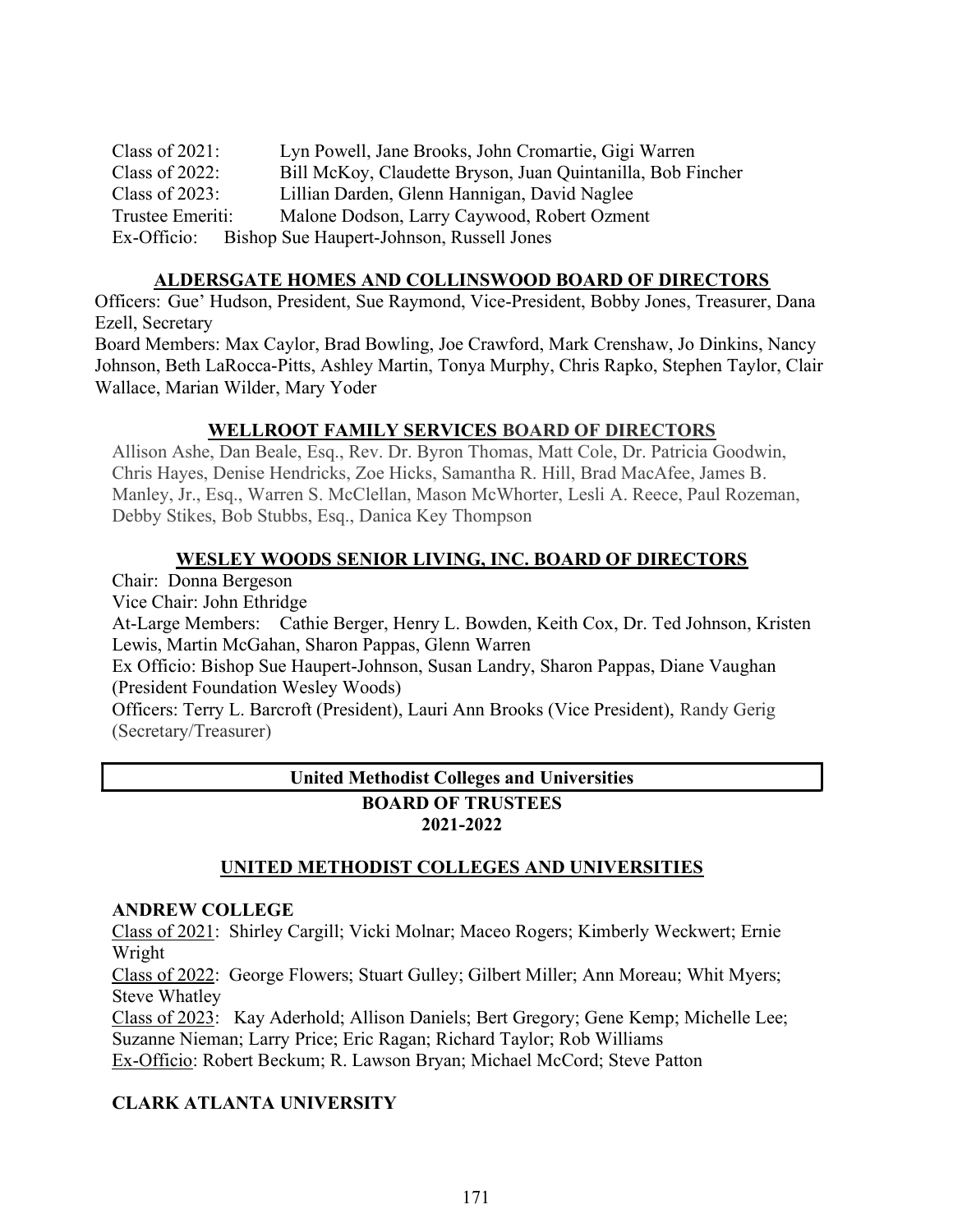Class of 2021: Lyn Powell, Jane Brooks, John Cromartie, Gigi Warren Class of 2022: Bill McKoy, Claudette Bryson, Juan Quintanilla, Bob Fincher Class of 2023: Lillian Darden, Glenn Hannigan, David Naglee Trustee Emeriti: Malone Dodson, Larry Caywood, Robert Ozment Ex-Officio: Bishop Sue Haupert-Johnson, Russell Jones

# ALDERSGATE HOMES AND COLLINSWOOD BOARD OF DIRECTORS

Officers: Gue' Hudson, President, Sue Raymond, Vice-President, Bobby Jones, Treasurer, Dana Ezell, Secretary

Board Members: Max Caylor, Brad Bowling, Joe Crawford, Mark Crenshaw, Jo Dinkins, Nancy Johnson, Beth LaRocca-Pitts, Ashley Martin, Tonya Murphy, Chris Rapko, Stephen Taylor, Clair Wallace, Marian Wilder, Mary Yoder

# WELLROOT FAMILY SERVICES BOARD OF DIRECTORS

Allison Ashe, Dan Beale, Esq., Rev. Dr. Byron Thomas, Matt Cole, Dr. Patricia Goodwin, Chris Hayes, Denise Hendricks, Zoe Hicks, Samantha R. Hill, Brad MacAfee, James B. Manley, Jr., Esq., Warren S. McClellan, Mason McWhorter, Lesli A. Reece, Paul Rozeman, Debby Stikes, Bob Stubbs, Esq., Danica Key Thompson

# WESLEY WOODS SENIOR LIVING, INC. BOARD OF DIRECTORS

Chair: Donna Bergeson

Vice Chair: John Ethridge

At-Large Members: Cathie Berger, Henry L. Bowden, Keith Cox, Dr. Ted Johnson, Kristen Lewis, Martin McGahan, Sharon Pappas, Glenn Warren

Ex Officio: Bishop Sue Haupert-Johnson, Susan Landry, Sharon Pappas, Diane Vaughan (President Foundation Wesley Woods)

Officers: Terry L. Barcroft (President), Lauri Ann Brooks (Vice President), Randy Gerig (Secretary/Treasurer)

# United Methodist Colleges and Universities BOARD OF TRUSTEES

# 2021-2022

# UNITED METHODIST COLLEGES AND UNIVERSITIES

# ANDREW COLLEGE

Class of 2021: Shirley Cargill; Vicki Molnar; Maceo Rogers; Kimberly Weckwert; Ernie Wright

Class of 2022: George Flowers; Stuart Gulley; Gilbert Miller; Ann Moreau; Whit Myers; Steve Whatley

Class of 2023: Kay Aderhold; Allison Daniels; Bert Gregory; Gene Kemp; Michelle Lee; Suzanne Nieman; Larry Price; Eric Ragan; Richard Taylor; Rob Williams Ex-Officio: Robert Beckum; R. Lawson Bryan; Michael McCord; Steve Patton

# CLARK ATLANTA UNIVERSITY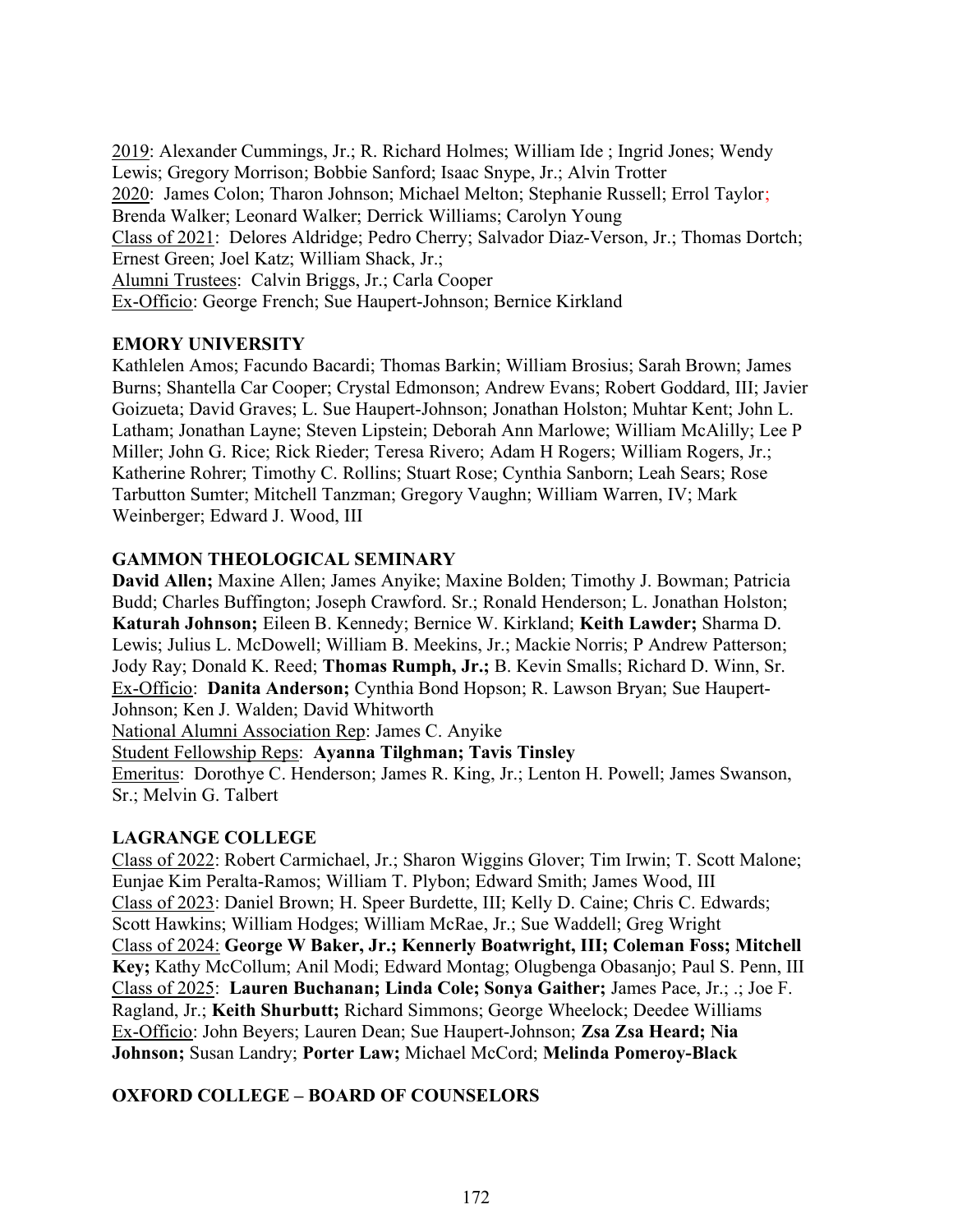2019: Alexander Cummings, Jr.; R. Richard Holmes; William Ide ; Ingrid Jones; Wendy Lewis; Gregory Morrison; Bobbie Sanford; Isaac Snype, Jr.; Alvin Trotter 2020: James Colon; Tharon Johnson; Michael Melton; Stephanie Russell; Errol Taylor; Brenda Walker; Leonard Walker; Derrick Williams; Carolyn Young Class of 2021: Delores Aldridge; Pedro Cherry; Salvador Diaz-Verson, Jr.; Thomas Dortch; Ernest Green; Joel Katz; William Shack, Jr.; Alumni Trustees: Calvin Briggs, Jr.; Carla Cooper Ex-Officio: George French; Sue Haupert-Johnson; Bernice Kirkland

# EMORY UNIVERSITY

Kathlelen Amos; Facundo Bacardi; Thomas Barkin; William Brosius; Sarah Brown; James Burns; Shantella Car Cooper; Crystal Edmonson; Andrew Evans; Robert Goddard, III; Javier Goizueta; David Graves; L. Sue Haupert-Johnson; Jonathan Holston; Muhtar Kent; John L. Latham; Jonathan Layne; Steven Lipstein; Deborah Ann Marlowe; William McAlilly; Lee P Miller; John G. Rice; Rick Rieder; Teresa Rivero; Adam H Rogers; William Rogers, Jr.; Katherine Rohrer; Timothy C. Rollins; Stuart Rose; Cynthia Sanborn; Leah Sears; Rose Tarbutton Sumter; Mitchell Tanzman; Gregory Vaughn; William Warren, IV; Mark Weinberger; Edward J. Wood, III

# GAMMON THEOLOGICAL SEMINARY

David Allen; Maxine Allen; James Anyike; Maxine Bolden; Timothy J. Bowman; Patricia Budd; Charles Buffington; Joseph Crawford. Sr.; Ronald Henderson; L. Jonathan Holston; Katurah Johnson; Eileen B. Kennedy; Bernice W. Kirkland; Keith Lawder; Sharma D. Lewis; Julius L. McDowell; William B. Meekins, Jr.; Mackie Norris; P Andrew Patterson; Jody Ray; Donald K. Reed; Thomas Rumph, Jr.; B. Kevin Smalls; Richard D. Winn, Sr. Ex-Officio: Danita Anderson; Cynthia Bond Hopson; R. Lawson Bryan; Sue Haupert-Johnson; Ken J. Walden; David Whitworth

National Alumni Association Rep: James C. Anyike

Student Fellowship Reps: Ayanna Tilghman; Tavis Tinsley

Emeritus: Dorothye C. Henderson; James R. King, Jr.; Lenton H. Powell; James Swanson, Sr.; Melvin G. Talbert

#### LAGRANGE COLLEGE

Class of 2022: Robert Carmichael, Jr.; Sharon Wiggins Glover; Tim Irwin; T. Scott Malone; Eunjae Kim Peralta-Ramos; William T. Plybon; Edward Smith; James Wood, III Class of 2023: Daniel Brown; H. Speer Burdette, III; Kelly D. Caine; Chris C. Edwards; Scott Hawkins; William Hodges; William McRae, Jr.; Sue Waddell; Greg Wright Class of 2024: George W Baker, Jr.; Kennerly Boatwright, III; Coleman Foss; Mitchell Key; Kathy McCollum; Anil Modi; Edward Montag; Olugbenga Obasanjo; Paul S. Penn, III Class of 2025: Lauren Buchanan; Linda Cole; Sonya Gaither; James Pace, Jr.; .; Joe F. Ragland, Jr.; Keith Shurbutt; Richard Simmons; George Wheelock; Deedee Williams Ex-Officio: John Beyers; Lauren Dean; Sue Haupert-Johnson; Zsa Zsa Heard; Nia Johnson; Susan Landry; Porter Law; Michael McCord; Melinda Pomeroy-Black

#### OXFORD COLLEGE – BOARD OF COUNSELORS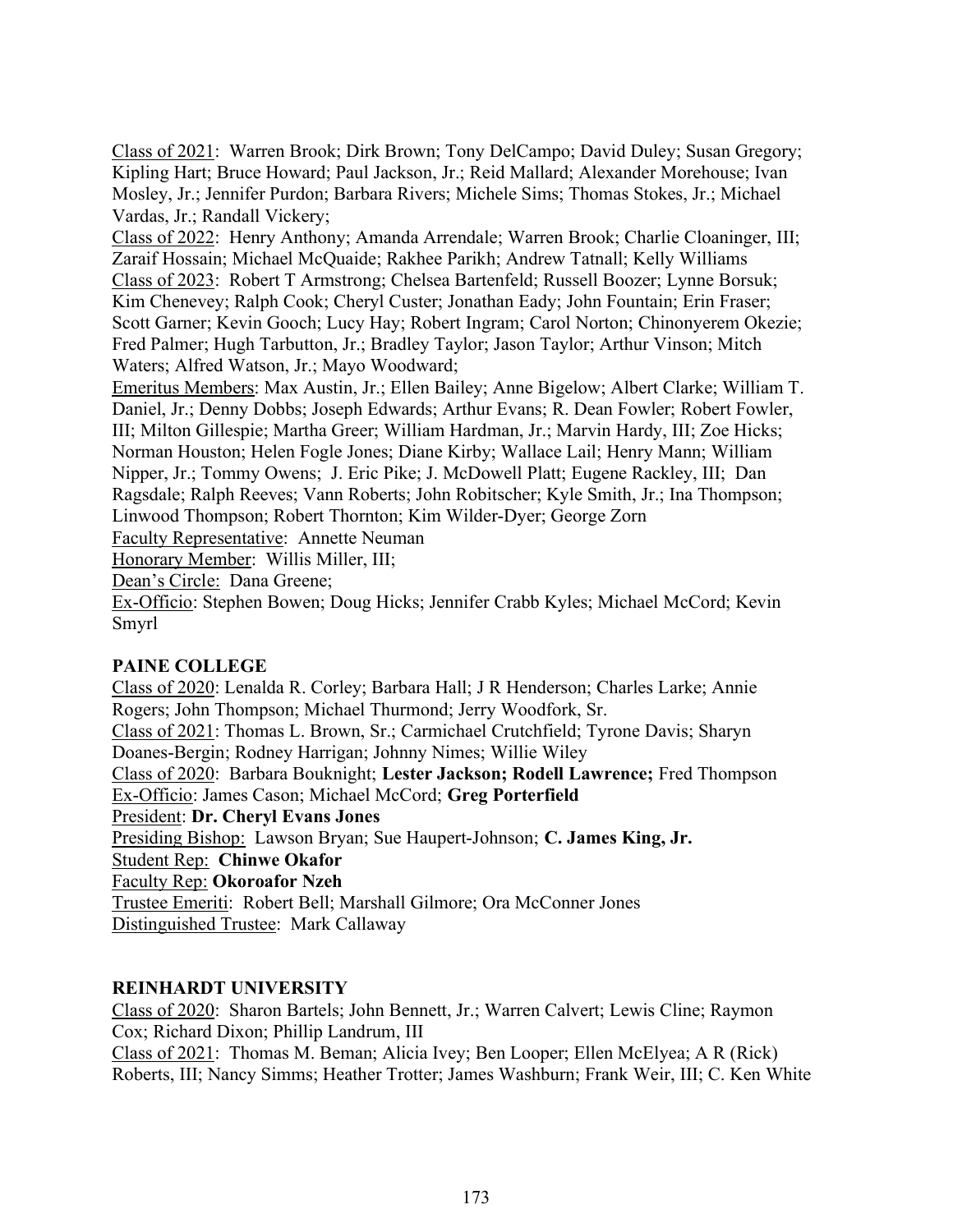Class of 2021: Warren Brook; Dirk Brown; Tony DelCampo; David Duley; Susan Gregory; Kipling Hart; Bruce Howard; Paul Jackson, Jr.; Reid Mallard; Alexander Morehouse; Ivan Mosley, Jr.; Jennifer Purdon; Barbara Rivers; Michele Sims; Thomas Stokes, Jr.; Michael Vardas, Jr.; Randall Vickery;

Class of 2022: Henry Anthony; Amanda Arrendale; Warren Brook; Charlie Cloaninger, III; Zaraif Hossain; Michael McQuaide; Rakhee Parikh; Andrew Tatnall; Kelly Williams Class of 2023: Robert T Armstrong; Chelsea Bartenfeld; Russell Boozer; Lynne Borsuk; Kim Chenevey; Ralph Cook; Cheryl Custer; Jonathan Eady; John Fountain; Erin Fraser; Scott Garner; Kevin Gooch; Lucy Hay; Robert Ingram; Carol Norton; Chinonyerem Okezie; Fred Palmer; Hugh Tarbutton, Jr.; Bradley Taylor; Jason Taylor; Arthur Vinson; Mitch Waters; Alfred Watson, Jr.; Mayo Woodward;

Emeritus Members: Max Austin, Jr.; Ellen Bailey; Anne Bigelow; Albert Clarke; William T. Daniel, Jr.; Denny Dobbs; Joseph Edwards; Arthur Evans; R. Dean Fowler; Robert Fowler, III; Milton Gillespie; Martha Greer; William Hardman, Jr.; Marvin Hardy, III; Zoe Hicks; Norman Houston; Helen Fogle Jones; Diane Kirby; Wallace Lail; Henry Mann; William Nipper, Jr.; Tommy Owens; J. Eric Pike; J. McDowell Platt; Eugene Rackley, III; Dan Ragsdale; Ralph Reeves; Vann Roberts; John Robitscher; Kyle Smith, Jr.; Ina Thompson; Linwood Thompson; Robert Thornton; Kim Wilder-Dyer; George Zorn

Faculty Representative: Annette Neuman

Honorary Member: Willis Miller, III;

Dean's Circle: Dana Greene;

Ex-Officio: Stephen Bowen; Doug Hicks; Jennifer Crabb Kyles; Michael McCord; Kevin Smyrl

#### PAINE COLLEGE

Class of 2020: Lenalda R. Corley; Barbara Hall; J R Henderson; Charles Larke; Annie Rogers; John Thompson; Michael Thurmond; Jerry Woodfork, Sr. Class of 2021: Thomas L. Brown, Sr.; Carmichael Crutchfield; Tyrone Davis; Sharyn Doanes-Bergin; Rodney Harrigan; Johnny Nimes; Willie Wiley Class of 2020: Barbara Bouknight; Lester Jackson; Rodell Lawrence; Fred Thompson Ex-Officio: James Cason; Michael McCord; Greg Porterfield President: Dr. Cheryl Evans Jones Presiding Bishop: Lawson Bryan; Sue Haupert-Johnson; C. James King, Jr. Student Rep: Chinwe Okafor Faculty Rep: Okoroafor Nzeh Trustee Emeriti: Robert Bell; Marshall Gilmore; Ora McConner Jones Distinguished Trustee: Mark Callaway

#### REINHARDT UNIVERSITY

Class of 2020: Sharon Bartels; John Bennett, Jr.; Warren Calvert; Lewis Cline; Raymon Cox; Richard Dixon; Phillip Landrum, III Class of 2021: Thomas M. Beman; Alicia Ivey; Ben Looper; Ellen McElyea; A R (Rick) Roberts, III; Nancy Simms; Heather Trotter; James Washburn; Frank Weir, III; C. Ken White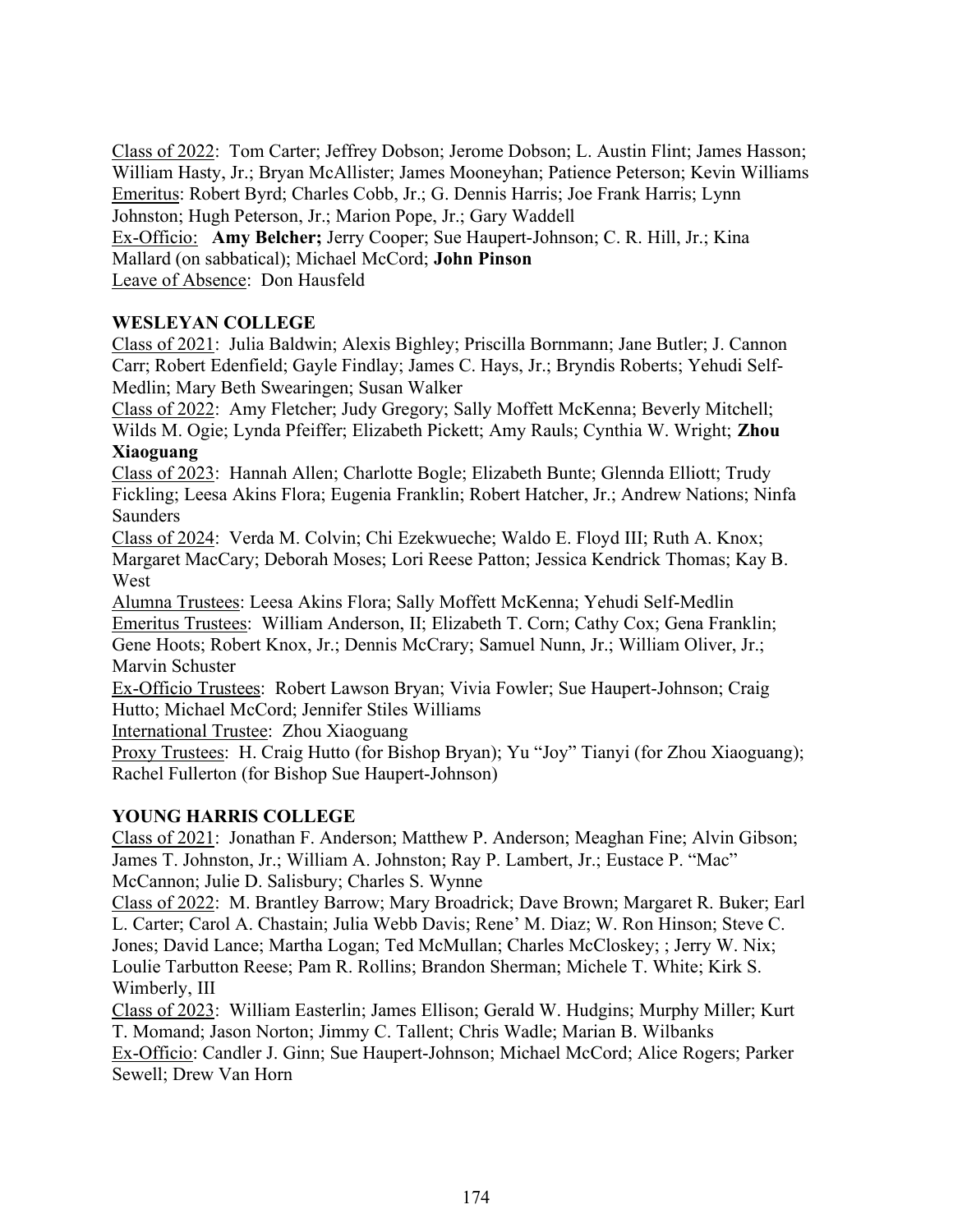Class of 2022: Tom Carter; Jeffrey Dobson; Jerome Dobson; L. Austin Flint; James Hasson; William Hasty, Jr.; Bryan McAllister; James Mooneyhan; Patience Peterson; Kevin Williams Emeritus: Robert Byrd; Charles Cobb, Jr.; G. Dennis Harris; Joe Frank Harris; Lynn Johnston; Hugh Peterson, Jr.; Marion Pope, Jr.; Gary Waddell

Ex-Officio: Amy Belcher; Jerry Cooper; Sue Haupert-Johnson; C. R. Hill, Jr.; Kina Mallard (on sabbatical); Michael McCord; John Pinson

Leave of Absence: Don Hausfeld

# WESLEYAN COLLEGE

Class of 2021: Julia Baldwin; Alexis Bighley; Priscilla Bornmann; Jane Butler; J. Cannon Carr; Robert Edenfield; Gayle Findlay; James C. Hays, Jr.; Bryndis Roberts; Yehudi Self-Medlin; Mary Beth Swearingen; Susan Walker

Class of 2022: Amy Fletcher; Judy Gregory; Sally Moffett McKenna; Beverly Mitchell; Wilds M. Ogie; Lynda Pfeiffer; Elizabeth Pickett; Amy Rauls; Cynthia W. Wright; Zhou Xiaoguang

Class of 2023: Hannah Allen; Charlotte Bogle; Elizabeth Bunte; Glennda Elliott; Trudy Fickling; Leesa Akins Flora; Eugenia Franklin; Robert Hatcher, Jr.; Andrew Nations; Ninfa **Saunders** 

Class of 2024: Verda M. Colvin; Chi Ezekwueche; Waldo E. Floyd III; Ruth A. Knox; Margaret MacCary; Deborah Moses; Lori Reese Patton; Jessica Kendrick Thomas; Kay B. West

Alumna Trustees: Leesa Akins Flora; Sally Moffett McKenna; Yehudi Self-Medlin Emeritus Trustees: William Anderson, II; Elizabeth T. Corn; Cathy Cox; Gena Franklin; Gene Hoots; Robert Knox, Jr.; Dennis McCrary; Samuel Nunn, Jr.; William Oliver, Jr.; Marvin Schuster

Ex-Officio Trustees: Robert Lawson Bryan; Vivia Fowler; Sue Haupert-Johnson; Craig Hutto; Michael McCord; Jennifer Stiles Williams

International Trustee: Zhou Xiaoguang

Proxy Trustees: H. Craig Hutto (for Bishop Bryan); Yu "Joy" Tianyi (for Zhou Xiaoguang); Rachel Fullerton (for Bishop Sue Haupert-Johnson)

# YOUNG HARRIS COLLEGE

Class of 2021: Jonathan F. Anderson; Matthew P. Anderson; Meaghan Fine; Alvin Gibson; James T. Johnston, Jr.; William A. Johnston; Ray P. Lambert, Jr.; Eustace P. "Mac" McCannon; Julie D. Salisbury; Charles S. Wynne

Class of 2022: M. Brantley Barrow; Mary Broadrick; Dave Brown; Margaret R. Buker; Earl L. Carter; Carol A. Chastain; Julia Webb Davis; Rene' M. Diaz; W. Ron Hinson; Steve C. Jones; David Lance; Martha Logan; Ted McMullan; Charles McCloskey; ; Jerry W. Nix; Loulie Tarbutton Reese; Pam R. Rollins; Brandon Sherman; Michele T. White; Kirk S. Wimberly, III

Class of 2023: William Easterlin; James Ellison; Gerald W. Hudgins; Murphy Miller; Kurt T. Momand; Jason Norton; Jimmy C. Tallent; Chris Wadle; Marian B. Wilbanks Ex-Officio: Candler J. Ginn; Sue Haupert-Johnson; Michael McCord; Alice Rogers; Parker Sewell; Drew Van Horn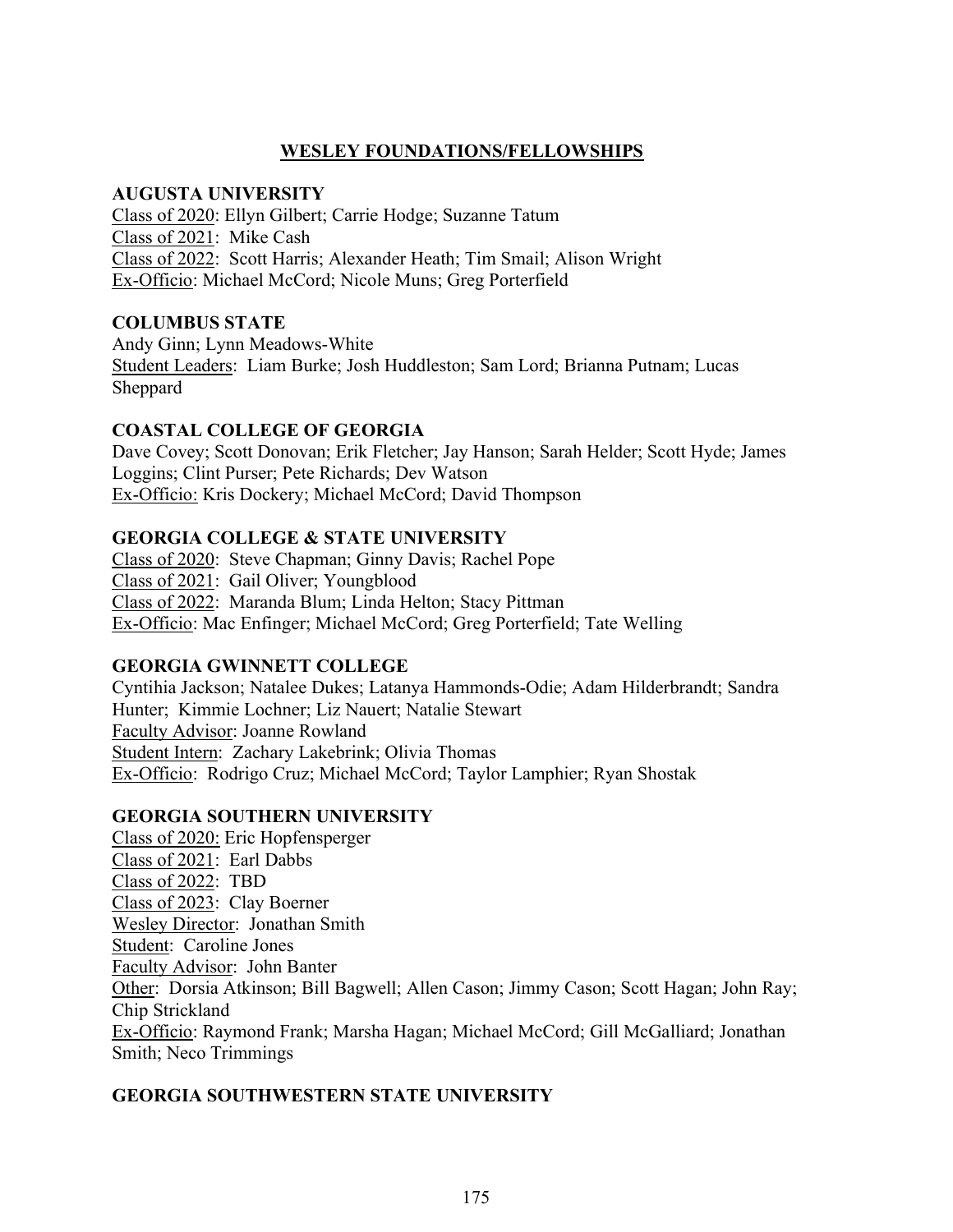# WESLEY FOUNDATIONS/FELLOWSHIPS

### AUGUSTA UNIVERSITY

Class of 2020: Ellyn Gilbert; Carrie Hodge; Suzanne Tatum Class of 2021: Mike Cash Class of 2022: Scott Harris; Alexander Heath; Tim Smail; Alison Wright Ex-Officio: Michael McCord; Nicole Muns; Greg Porterfield

# COLUMBUS STATE

Andy Ginn; Lynn Meadows-White Student Leaders: Liam Burke; Josh Huddleston; Sam Lord; Brianna Putnam; Lucas Sheppard

# COASTAL COLLEGE OF GEORGIA

Dave Covey; Scott Donovan; Erik Fletcher; Jay Hanson; Sarah Helder; Scott Hyde; James Loggins; Clint Purser; Pete Richards; Dev Watson Ex-Officio: Kris Dockery; Michael McCord; David Thompson

# GEORGIA COLLEGE & STATE UNIVERSITY

Class of 2020: Steve Chapman; Ginny Davis; Rachel Pope Class of 2021: Gail Oliver; Youngblood Class of 2022: Maranda Blum; Linda Helton; Stacy Pittman Ex-Officio: Mac Enfinger; Michael McCord; Greg Porterfield; Tate Welling

# GEORGIA GWINNETT COLLEGE

Cyntihia Jackson; Natalee Dukes; Latanya Hammonds-Odie; Adam Hilderbrandt; Sandra Hunter; Kimmie Lochner; Liz Nauert; Natalie Stewart Faculty Advisor: Joanne Rowland Student Intern: Zachary Lakebrink; Olivia Thomas Ex-Officio: Rodrigo Cruz; Michael McCord; Taylor Lamphier; Ryan Shostak

# GEORGIA SOUTHERN UNIVERSITY

Class of 2020: Eric Hopfensperger Class of 2021: Earl Dabbs Class of 2022: TBD Class of 2023: Clay Boerner Wesley Director: Jonathan Smith Student: Caroline Jones Faculty Advisor: John Banter Other: Dorsia Atkinson; Bill Bagwell; Allen Cason; Jimmy Cason; Scott Hagan; John Ray; Chip Strickland Ex-Officio: Raymond Frank; Marsha Hagan; Michael McCord; Gill McGalliard; Jonathan Smith; Neco Trimmings

# GEORGIA SOUTHWESTERN STATE UNIVERSITY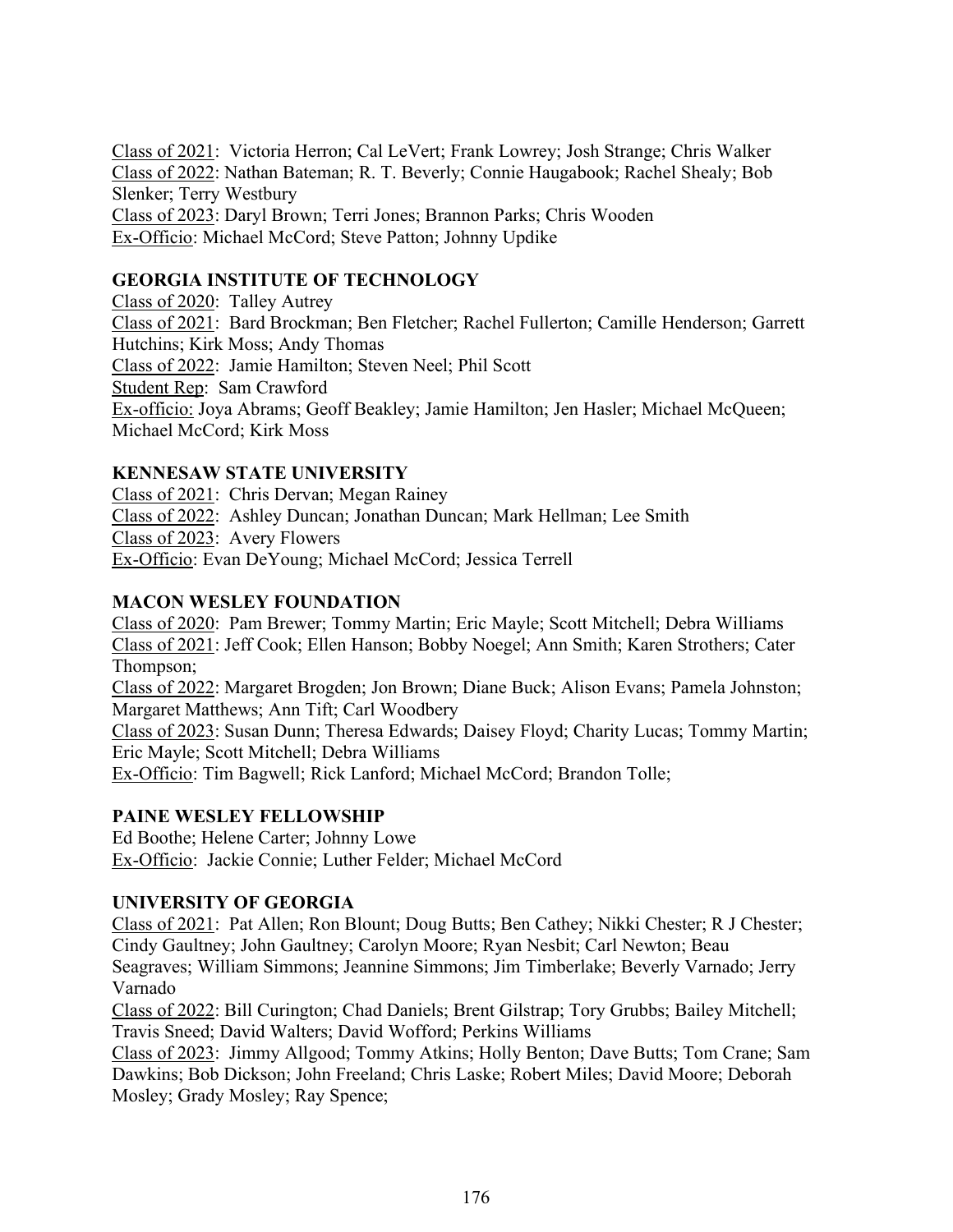Class of 2021: Victoria Herron; Cal LeVert; Frank Lowrey; Josh Strange; Chris Walker Class of 2022: Nathan Bateman; R. T. Beverly; Connie Haugabook; Rachel Shealy; Bob Slenker; Terry Westbury Class of 2023: Daryl Brown; Terri Jones; Brannon Parks; Chris Wooden Ex-Officio: Michael McCord; Steve Patton; Johnny Updike

# GEORGIA INSTITUTE OF TECHNOLOGY

Class of 2020: Talley Autrey Class of 2021: Bard Brockman; Ben Fletcher; Rachel Fullerton; Camille Henderson; Garrett Hutchins; Kirk Moss; Andy Thomas Class of 2022: Jamie Hamilton; Steven Neel; Phil Scott Student Rep: Sam Crawford Ex-officio: Joya Abrams; Geoff Beakley; Jamie Hamilton; Jen Hasler; Michael McQueen; Michael McCord; Kirk Moss

# KENNESAW STATE UNIVERSITY

Class of 2021: Chris Dervan; Megan Rainey Class of 2022: Ashley Duncan; Jonathan Duncan; Mark Hellman; Lee Smith Class of 2023: Avery Flowers Ex-Officio: Evan DeYoung; Michael McCord; Jessica Terrell

# MACON WESLEY FOUNDATION

Class of 2020: Pam Brewer; Tommy Martin; Eric Mayle; Scott Mitchell; Debra Williams Class of 2021: Jeff Cook; Ellen Hanson; Bobby Noegel; Ann Smith; Karen Strothers; Cater Thompson;

Class of 2022: Margaret Brogden; Jon Brown; Diane Buck; Alison Evans; Pamela Johnston; Margaret Matthews; Ann Tift; Carl Woodbery

Class of 2023: Susan Dunn; Theresa Edwards; Daisey Floyd; Charity Lucas; Tommy Martin; Eric Mayle; Scott Mitchell; Debra Williams

Ex-Officio: Tim Bagwell; Rick Lanford; Michael McCord; Brandon Tolle;

# PAINE WESLEY FELLOWSHIP

Ed Boothe; Helene Carter; Johnny Lowe Ex-Officio: Jackie Connie; Luther Felder; Michael McCord

# UNIVERSITY OF GEORGIA

Class of 2021: Pat Allen; Ron Blount; Doug Butts; Ben Cathey; Nikki Chester; R J Chester; Cindy Gaultney; John Gaultney; Carolyn Moore; Ryan Nesbit; Carl Newton; Beau Seagraves; William Simmons; Jeannine Simmons; Jim Timberlake; Beverly Varnado; Jerry Varnado

Class of 2022: Bill Curington; Chad Daniels; Brent Gilstrap; Tory Grubbs; Bailey Mitchell; Travis Sneed; David Walters; David Wofford; Perkins Williams

Class of 2023: Jimmy Allgood; Tommy Atkins; Holly Benton; Dave Butts; Tom Crane; Sam Dawkins; Bob Dickson; John Freeland; Chris Laske; Robert Miles; David Moore; Deborah Mosley; Grady Mosley; Ray Spence;